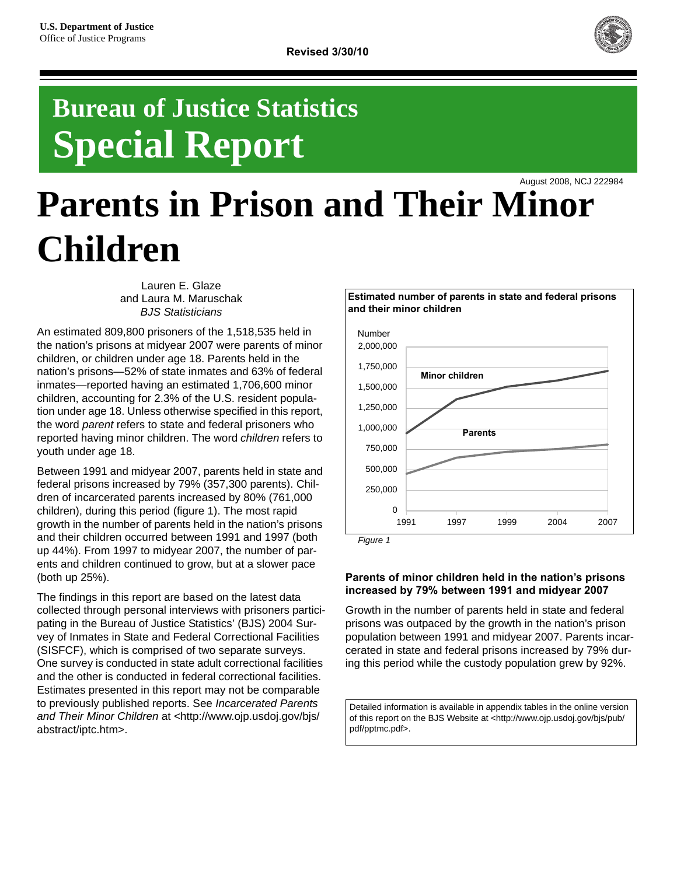

## **Bureau of Justice Statistics Special Report**

August 2008, NCJ 222984

# **Parents in Prison and Their Minor Children**

Lauren E. Glaze and Laura M. Maruschak *BJS Statisticians*

An estimated 809,800 prisoners of the 1,518,535 held in the nation's prisons at midyear 2007 were parents of minor children, or children under age 18. Parents held in the nation's prisons—52% of state inmates and 63% of federal inmates—reported having an estimated 1,706,600 minor children, accounting for 2.3% of the U.S. resident population under age 18. Unless otherwise specified in this report, the word *parent* refers to state and federal prisoners who reported having minor children. The word *children* refers to youth under age 18.

Between 1991 and midyear 2007, parents held in state and federal prisons increased by 79% (357,300 parents). Children of incarcerated parents increased by 80% (761,000 children), during this period (figure 1). The most rapid growth in the number of parents held in the nation's prisons and their children occurred between 1991 and 1997 (both up 44%). From 1997 to midyear 2007, the number of parents and children continued to grow, but at a slower pace (both up 25%).

The findings in this report are based on the latest data collected through personal interviews with prisoners participating in the Bureau of Justice Statistics' (BJS) 2004 Survey of Inmates in State and Federal Correctional Facilities (SISFCF), which is comprised of two separate surveys. One survey is conducted in state adult correctional facilities and the other is conducted in federal correctional facilities. Estimates presented in this report may not be comparable to previously published reports. See *Incarcerated Parents and Their Minor Children* at <http://www.ojp.usdoj.gov/bjs/ abstract/iptc.htm>.



**Estimated number of parents in state and federal prisons** 

**and their minor children**

*Figure 1*

## **Parents of minor children held in the nation's prisons increased by 79% between 1991 and midyear 2007**

Growth in the number of parents held in state and federal prisons was outpaced by the growth in the nation's prison population between 1991 and midyear 2007. Parents incarcerated in state and federal prisons increased by 79% during this period while the custody population grew by 92%.

Detailed information is available in appendix tables in the online version of this report on the BJS Website at <http://www.ojp.usdoj.gov/bjs/pub/ pdf/pptmc.pdf>.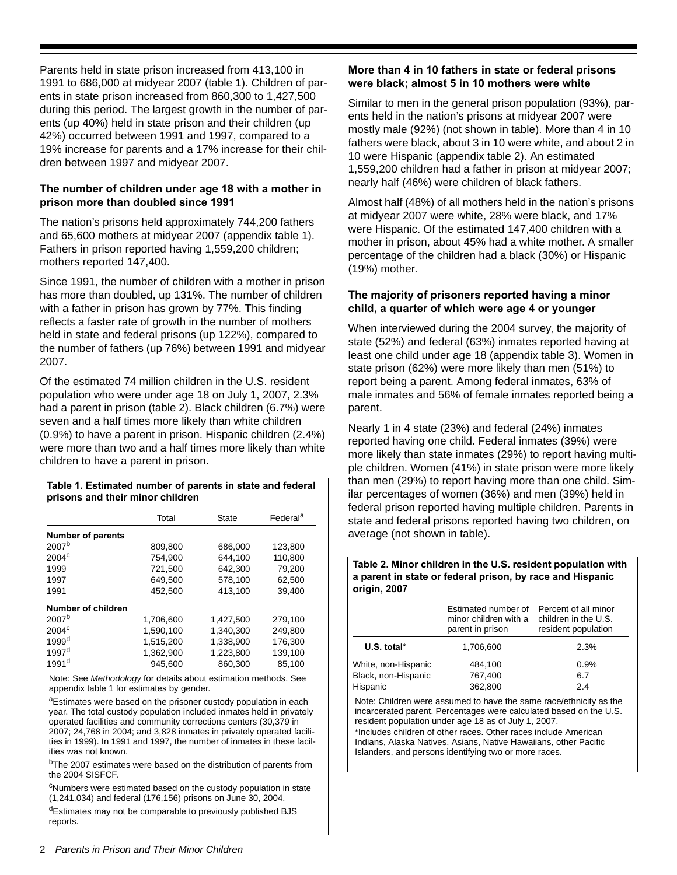Parents held in state prison increased from 413,100 in 1991 to 686,000 at midyear 2007 (table 1). Children of parents in state prison increased from 860,300 to 1,427,500 during this period. The largest growth in the number of parents (up 40%) held in state prison and their children (up 42%) occurred between 1991 and 1997, compared to a 19% increase for parents and a 17% increase for their children between 1997 and midyear 2007.

## **The number of children under age 18 with a mother in prison more than doubled since 1991**

The nation's prisons held approximately 744,200 fathers and 65,600 mothers at midyear 2007 (appendix table 1). Fathers in prison reported having 1,559,200 children; mothers reported 147,400.

Since 1991, the number of children with a mother in prison has more than doubled, up 131%. The number of children with a father in prison has grown by 77%. This finding reflects a faster rate of growth in the number of mothers held in state and federal prisons (up 122%), compared to the number of fathers (up 76%) between 1991 and midyear 2007.

Of the estimated 74 million children in the U.S. resident population who were under age 18 on July 1, 2007, 2.3% had a parent in prison (table 2). Black children (6.7%) were seven and a half times more likely than white children (0.9%) to have a parent in prison. Hispanic children (2.4%) were more than two and a half times more likely than white children to have a parent in prison.

## **Table 1. Estimated number of parents in state and federal prisons and their minor children**

|                          | Total     | State     | Federal <sup>a</sup> |
|--------------------------|-----------|-----------|----------------------|
| <b>Number of parents</b> |           |           |                      |
| 2007 <sup>b</sup>        | 809,800   | 686,000   | 123,800              |
| 2004 <sup>c</sup>        | 754,900   | 644,100   | 110.800              |
| 1999                     | 721,500   | 642,300   | 79,200               |
| 1997                     | 649.500   | 578,100   | 62,500               |
| 1991                     | 452,500   | 413,100   | 39,400               |
| Number of children       |           |           |                      |
| 2007 <sup>b</sup>        | 1,706,600 | 1,427,500 | 279,100              |
| 2004 <sup>c</sup>        | 1,590,100 | 1,340,300 | 249,800              |
| 1999 <sup>d</sup>        | 1,515,200 | 1,338,900 | 176,300              |
| 1997 <sup>d</sup>        | 1,362,900 | 1,223,800 | 139,100              |
| 1991 <sup>d</sup>        | 945,600   | 860,300   | 85,100               |

Note: See *Methodology* for details about estimation methods. See appendix table 1 for estimates by gender.

aEstimates were based on the prisoner custody population in each year. The total custody population included inmates held in privately operated facilities and community corrections centers (30,379 in 2007; 24,768 in 2004; and 3,828 inmates in privately operated facilities in 1999). In 1991 and 1997, the number of inmates in these facilities was not known.

<sup>b</sup>The 2007 estimates were based on the distribution of parents from the 2004 SISFCF.

<sup>c</sup>Numbers were estimated based on the custody population in state (1,241,034) and federal (176,156) prisons on June 30, 2004.

dEstimates may not be comparable to previously published BJS reports.

## **More than 4 in 10 fathers in state or federal prisons were black; almost 5 in 10 mothers were white**

Similar to men in the general prison population (93%), parents held in the nation's prisons at midyear 2007 were mostly male (92%) (not shown in table). More than 4 in 10 fathers were black, about 3 in 10 were white, and about 2 in 10 were Hispanic (appendix table 2). An estimated 1,559,200 children had a father in prison at midyear 2007; nearly half (46%) were children of black fathers.

Almost half (48%) of all mothers held in the nation's prisons at midyear 2007 were white, 28% were black, and 17% were Hispanic. Of the estimated 147,400 children with a mother in prison, about 45% had a white mother. A smaller percentage of the children had a black (30%) or Hispanic (19%) mother.

## **The majority of prisoners reported having a minor child, a quarter of which were age 4 or younger**

When interviewed during the 2004 survey, the majority of state (52%) and federal (63%) inmates reported having at least one child under age 18 (appendix table 3). Women in state prison (62%) were more likely than men (51%) to report being a parent. Among federal inmates, 63% of male inmates and 56% of female inmates reported being a parent.

Nearly 1 in 4 state (23%) and federal (24%) inmates reported having one child. Federal inmates (39%) were more likely than state inmates (29%) to report having multiple children. Women (41%) in state prison were more likely than men (29%) to report having more than one child. Similar percentages of women (36%) and men (39%) held in federal prison reported having multiple children. Parents in state and federal prisons reported having two children, on average (not shown in table).

#### **Table 2. Minor children in the U.S. resident population with a parent in state or federal prison, by race and Hispanic origin, 2007**

|                     | Estimated number of<br>minor children with a<br>parent in prison | Percent of all minor<br>children in the U.S.<br>resident population |
|---------------------|------------------------------------------------------------------|---------------------------------------------------------------------|
| U.S. total*         | 1.706.600                                                        | 2.3%                                                                |
| White, non-Hispanic | 484.100                                                          | 0.9%                                                                |
| Black, non-Hispanic | 767,400                                                          | 6.7                                                                 |
| Hispanic            | 362,800                                                          | 2.4                                                                 |

Note: Children were assumed to have the same race/ethnicity as the incarcerated parent. Percentages were calculated based on the U.S. resident population under age 18 as of July 1, 2007. \*Includes children of other races. Other races include American Indians, Alaska Natives, Asians, Native Hawaiians, other Pacific Islanders, and persons identifying two or more races.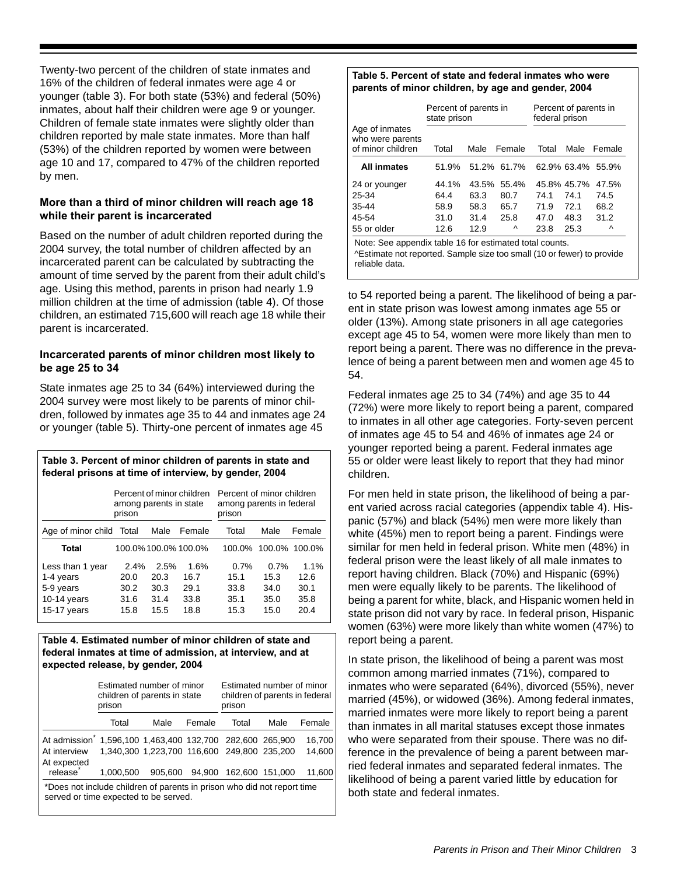Twenty-two percent of the children of state inmates and 16% of the children of federal inmates were age 4 or younger (table 3). For both state (53%) and federal (50%) inmates, about half their children were age 9 or younger. Children of female state inmates were slightly older than children reported by male state inmates. More than half (53%) of the children reported by women were between age 10 and 17, compared to 47% of the children reported by men.

## **More than a third of minor children will reach age 18 while their parent is incarcerated**

Based on the number of adult children reported during the 2004 survey, the total number of children affected by an incarcerated parent can be calculated by subtracting the amount of time served by the parent from their adult child's age. Using this method, parents in prison had nearly 1.9 million children at the time of admission (table 4). Of those children, an estimated 715,600 will reach age 18 while their parent is incarcerated.

## **Incarcerated parents of minor children most likely to be age 25 to 34**

State inmates age 25 to 34 (64%) interviewed during the 2004 survey were most likely to be parents of minor children, followed by inmates age 35 to 44 and inmates age 24 or younger (table 5). Thirty-one percent of inmates age 45

## **Table 3. Percent of minor children of parents in state and federal prisons at time of interview, by gender, 2004**

| Percent of minor children<br>among parents in state<br>prison |                      |      |        | Percent of minor children<br>among parents in federal<br>prison |               |        |
|---------------------------------------------------------------|----------------------|------|--------|-----------------------------------------------------------------|---------------|--------|
| Age of minor child Total                                      |                      | Male | Female | Total                                                           | Male          | Female |
| Total                                                         | 100.0% 100.0% 100.0% |      |        | 100.0%                                                          | 100.0% 100.0% |        |
| Less than 1 year                                              | 2.4%                 | 2.5% | 1.6%   | 0.7%                                                            | 0.7%          | 1.1%   |
| 1-4 years                                                     | 20.0                 | 20.3 | 16.7   | 15.1                                                            | 15.3          | 12.6   |
| 5-9 years                                                     | 30.2                 | 30.3 | 29.1   | 33.8                                                            | 34.0          | 30.1   |
| $10-14$ years                                                 | 31.6                 | 31.4 | 33.8   | 35.1                                                            | 35.0          | 35.8   |
| 15-17 years                                                   | 15.8                 | 15.5 | 18.8   | 15.3                                                            | 15.0          | 20.4   |

#### **Table 4. Estimated number of minor children of state and federal inmates at time of admission, at interview, and at expected release, by gender, 2004**

|                                                                                                                  | Estimated number of minor<br>children of parents in state<br>prison |                                                                                                       |        | Estimated number of minor<br>children of parents in federal<br>prison |      |                            |  |
|------------------------------------------------------------------------------------------------------------------|---------------------------------------------------------------------|-------------------------------------------------------------------------------------------------------|--------|-----------------------------------------------------------------------|------|----------------------------|--|
|                                                                                                                  | Total                                                               | Male                                                                                                  | Female | Total                                                                 | Male | Female                     |  |
| At admission <sup>®</sup><br>At interview<br>At expected<br>release <sup>®</sup>                                 | 1.000.500                                                           | 1,596,100 1,463,400 132,700 282,600 265,900<br>1,340,300 1,223,700 116,600 249,800 235,200<br>905.600 |        | 94,900 162,600 151,000                                                |      | 16,700<br>14,600<br>11,600 |  |
| *Does not include children of parents in prison who did not report time<br>served or time expected to be served. |                                                                     |                                                                                                       |        |                                                                       |      |                            |  |

## **Table 5. Percent of state and federal inmates who were parents of minor children, by age and gender, 2004**

|                                                         |       | Percent of parents in<br>state prison |             |       | Percent of parents in<br>federal prison |        |
|---------------------------------------------------------|-------|---------------------------------------|-------------|-------|-----------------------------------------|--------|
| Age of inmates<br>who were parents<br>of minor children | Total | Male                                  | Female      | Total | Male                                    | Female |
| All inmates                                             | 51.9% |                                       | 51.2% 61.7% |       | 62.9% 63.4%                             | 55.9%  |
| 24 or younger                                           | 44.1% | 43.5%                                 | 55.4%       |       | 45.8% 45.7%                             | 47.5%  |
| 25-34                                                   | 64.4  | 63.3                                  | 80.7        | 74.1  | 74.1                                    | 74.5   |
| 35-44                                                   | 58.9  | 58.3                                  | 65.7        | 71.9  | 72.1                                    | 68.2   |
| 45-54                                                   | 31.0  | 31.4                                  | 25.8        | 47.0  | 48.3                                    | 31.2   |
| 55 or older                                             | 12.6  | 12.9                                  | $\lambda$   | 23.8  | 25.3                                    | Λ      |

Note: See appendix table 16 for estimated total counts. ^Estimate not reported. Sample size too small (10 or fewer) to provide reliable data.

to 54 reported being a parent. The likelihood of being a parent in state prison was lowest among inmates age 55 or older (13%). Among state prisoners in all age categories except age 45 to 54, women were more likely than men to report being a parent. There was no difference in the prevalence of being a parent between men and women age 45 to 54.

Federal inmates age 25 to 34 (74%) and age 35 to 44 (72%) were more likely to report being a parent, compared to inmates in all other age categories. Forty-seven percent of inmates age 45 to 54 and 46% of inmates age 24 or younger reported being a parent. Federal inmates age 55 or older were least likely to report that they had minor children.

For men held in state prison, the likelihood of being a parent varied across racial categories (appendix table 4). Hispanic (57%) and black (54%) men were more likely than white (45%) men to report being a parent. Findings were similar for men held in federal prison. White men (48%) in federal prison were the least likely of all male inmates to report having children. Black (70%) and Hispanic (69%) men were equally likely to be parents. The likelihood of being a parent for white, black, and Hispanic women held in state prison did not vary by race. In federal prison, Hispanic women (63%) were more likely than white women (47%) to report being a parent.

In state prison, the likelihood of being a parent was most common among married inmates (71%), compared to inmates who were separated (64%), divorced (55%), never married (45%), or widowed (36%). Among federal inmates, married inmates were more likely to report being a parent than inmates in all marital statuses except those inmates who were separated from their spouse. There was no difference in the prevalence of being a parent between married federal inmates and separated federal inmates. The likelihood of being a parent varied little by education for both state and federal inmates.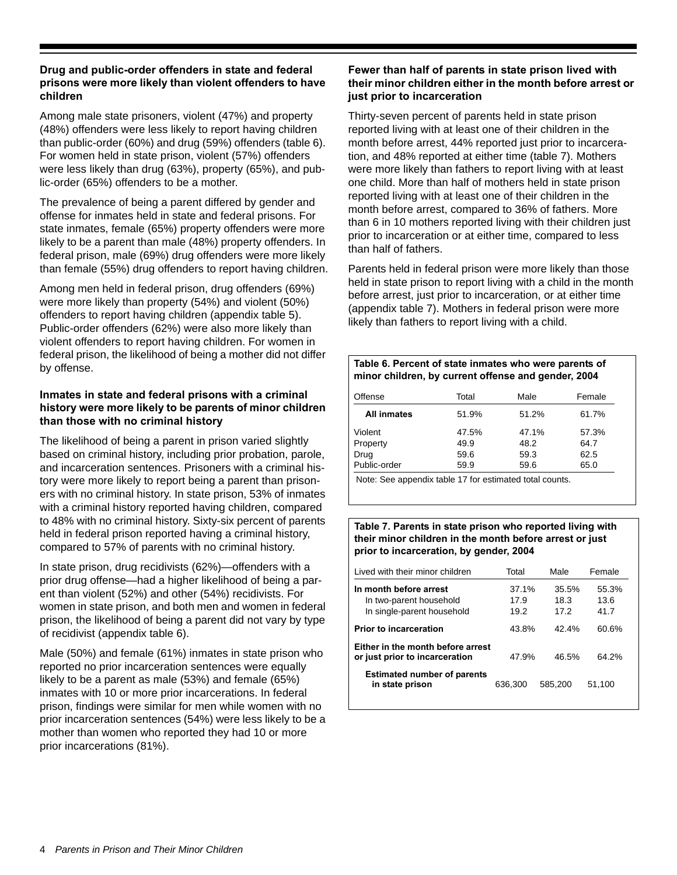## **Drug and public-order offenders in state and federal prisons were more likely than violent offenders to have children**

Among male state prisoners, violent (47%) and property (48%) offenders were less likely to report having children than public-order (60%) and drug (59%) offenders (table 6). For women held in state prison, violent (57%) offenders were less likely than drug (63%), property (65%), and public-order (65%) offenders to be a mother.

The prevalence of being a parent differed by gender and offense for inmates held in state and federal prisons. For state inmates, female (65%) property offenders were more likely to be a parent than male (48%) property offenders. In federal prison, male (69%) drug offenders were more likely than female (55%) drug offenders to report having children.

Among men held in federal prison, drug offenders (69%) were more likely than property (54%) and violent (50%) offenders to report having children (appendix table 5). Public-order offenders (62%) were also more likely than violent offenders to report having children. For women in federal prison, the likelihood of being a mother did not differ by offense.

## **Inmates in state and federal prisons with a criminal history were more likely to be parents of minor children than those with no criminal history**

The likelihood of being a parent in prison varied slightly based on criminal history, including prior probation, parole, and incarceration sentences. Prisoners with a criminal history were more likely to report being a parent than prisoners with no criminal history. In state prison, 53% of inmates with a criminal history reported having children, compared to 48% with no criminal history. Sixty-six percent of parents held in federal prison reported having a criminal history, compared to 57% of parents with no criminal history.

In state prison, drug recidivists (62%)—offenders with a prior drug offense—had a higher likelihood of being a parent than violent (52%) and other (54%) recidivists. For women in state prison, and both men and women in federal prison, the likelihood of being a parent did not vary by type of recidivist (appendix table 6).

Male (50%) and female (61%) inmates in state prison who reported no prior incarceration sentences were equally likely to be a parent as male (53%) and female (65%) inmates with 10 or more prior incarcerations. In federal prison, findings were similar for men while women with no prior incarceration sentences (54%) were less likely to be a mother than women who reported they had 10 or more prior incarcerations (81%).

## **Fewer than half of parents in state prison lived with their minor children either in the month before arrest or just prior to incarceration**

Thirty-seven percent of parents held in state prison reported living with at least one of their children in the month before arrest, 44% reported just prior to incarceration, and 48% reported at either time (table 7). Mothers were more likely than fathers to report living with at least one child. More than half of mothers held in state prison reported living with at least one of their children in the month before arrest, compared to 36% of fathers. More than 6 in 10 mothers reported living with their children just prior to incarceration or at either time, compared to less than half of fathers.

Parents held in federal prison were more likely than those held in state prison to report living with a child in the month before arrest, just prior to incarceration, or at either time (appendix table 7). Mothers in federal prison were more likely than fathers to report living with a child.

## **Table 6. Percent of state inmates who were parents of minor children, by current offense and gender, 2004**

| Offense      | Total | Male  | Female |
|--------------|-------|-------|--------|
| All inmates  | 51.9% | 51.2% | 61.7%  |
| Violent      | 47.5% | 47.1% | 57.3%  |
| Property     | 49.9  | 48.2  | 64.7   |
| Drug         | 59.6  | 59.3  | 62.5   |
| Public-order | 59.9  | 59.6  | 65.0   |

Note: See appendix table 17 for estimated total counts.

## **Table 7. Parents in state prison who reported living with their minor children in the month before arrest or just prior to incarceration, by gender, 2004**

| I ived with their minor children                                    | Total   | Male    | Female |
|---------------------------------------------------------------------|---------|---------|--------|
| In month before arrest                                              | 37.1%   | 35.5%   | 55.3%  |
| In two-parent household                                             | 17.9    | 18.3    | 13.6   |
| In single-parent household                                          | 19.2    | 17.2    | 41.7   |
| <b>Prior to incarceration</b>                                       | 43.8%   | 42.4%   | 60.6%  |
| Either in the month before arrest<br>or just prior to incarceration | 47.9%   | 46.5%   | 64.2%  |
| <b>Estimated number of parents</b><br>in state prison               | 636.300 | 585.200 | 51,100 |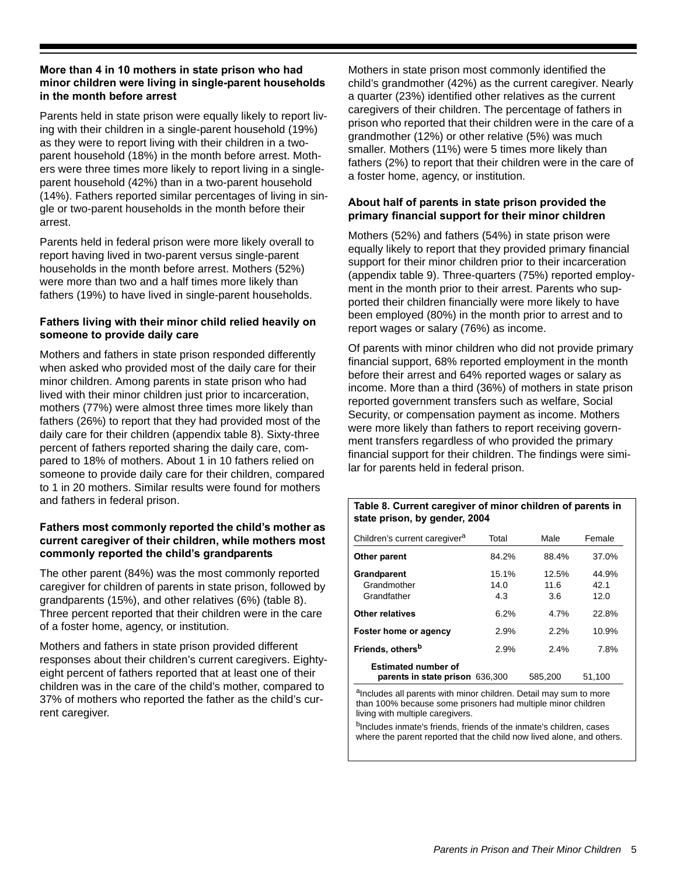## **More than 4 in 10 mothers in state prison who had minor children were living in single-parent households in the month before arrest**

Parents held in state prison were equally likely to report living with their children in a single-parent household (19%) as they were to report living with their children in a twoparent household (18%) in the month before arrest. Mothers were three times more likely to report living in a singleparent household (42%) than in a two-parent household (14%). Fathers reported similar percentages of living in single or two-parent households in the month before their arrest.

Parents held in federal prison were more likely overall to report having lived in two-parent versus single-parent households in the month before arrest. Mothers (52%) were more than two and a half times more likely than fathers (19%) to have lived in single-parent households.

## **Fathers living with their minor child relied heavily on someone to provide daily care**

Mothers and fathers in state prison responded differently when asked who provided most of the daily care for their minor children. Among parents in state prison who had lived with their minor children just prior to incarceration, mothers (77%) were almost three times more likely than fathers (26%) to report that they had provided most of the daily care for their children (appendix table 8). Sixty-three percent of fathers reported sharing the daily care, compared to 18% of mothers. About 1 in 10 fathers relied on someone to provide daily care for their children, compared to 1 in 20 mothers. Similar results were found for mothers and fathers in federal prison.

## **Fathers most commonly reported the child's mother as current caregiver of their children, while mothers most commonly reported the child's grandparents**

The other parent (84%) was the most commonly reported caregiver for children of parents in state prison, followed by grandparents (15%), and other relatives (6%) (table 8). Three percent reported that their children were in the care of a foster home, agency, or institution.

Mothers and fathers in state prison provided different responses about their children's current caregivers. Eightyeight percent of fathers reported that at least one of their children was in the care of the child's mother, compared to 37% of mothers who reported the father as the child's current caregiver.

Mothers in state prison most commonly identified the child's grandmother (42%) as the current caregiver. Nearly a quarter (23%) identified other relatives as the current caregivers of their children. The percentage of fathers in prison who reported that their children were in the care of a grandmother (12%) or other relative (5%) was much smaller. Mothers (11%) were 5 times more likely than fathers (2%) to report that their children were in the care of a foster home, agency, or institution.

## **About half of parents in state prison provided the primary financial support for their minor children**

Mothers (52%) and fathers (54%) in state prison were equally likely to report that they provided primary financial support for their minor children prior to their incarceration (appendix table 9). Three-quarters (75%) reported employment in the month prior to their arrest. Parents who supported their children financially were more likely to have been employed (80%) in the month prior to arrest and to report wages or salary (76%) as income.

Of parents with minor children who did not provide primary financial support, 68% reported employment in the month before their arrest and 64% reported wages or salary as income. More than a third (36%) of mothers in state prison reported government transfers such as welfare, Social Security, or compensation payment as income. Mothers were more likely than fathers to report receiving government transfers regardless of who provided the primary financial support for their children. The findings were similar for parents held in federal prison.

## **Table 8. Current caregiver of minor children of parents in state prison, by gender, 2004**

| Children's current caregiver <sup>a</sup>                     | Total                | Male                 | Female                |
|---------------------------------------------------------------|----------------------|----------------------|-----------------------|
| Other parent                                                  | 84.2%                | 88.4%                | 37.0%                 |
| Grandparent<br>Grandmother<br>Grandfather                     | 15.1%<br>14.0<br>4.3 | 12.5%<br>11.6<br>3.6 | 44.9%<br>42.1<br>12.0 |
| Other relatives                                               | 6.2%                 | 4.7%                 | 22.8%                 |
| Foster home or agency                                         | 2.9%                 | 2.2%                 | 10.9%                 |
| Friends, others <sup>b</sup>                                  | 2.9%                 | 2.4%                 | 7.8%                  |
| <b>Estimated number of</b><br>parents in state prison 636,300 |                      | 585.200              | 51.100                |

aIncludes all parents with minor children. Detail may sum to more than 100% because some prisoners had multiple minor children living with multiple caregivers.

<sup>b</sup>Includes inmate's friends, friends of the inmate's children, cases where the parent reported that the child now lived alone, and others.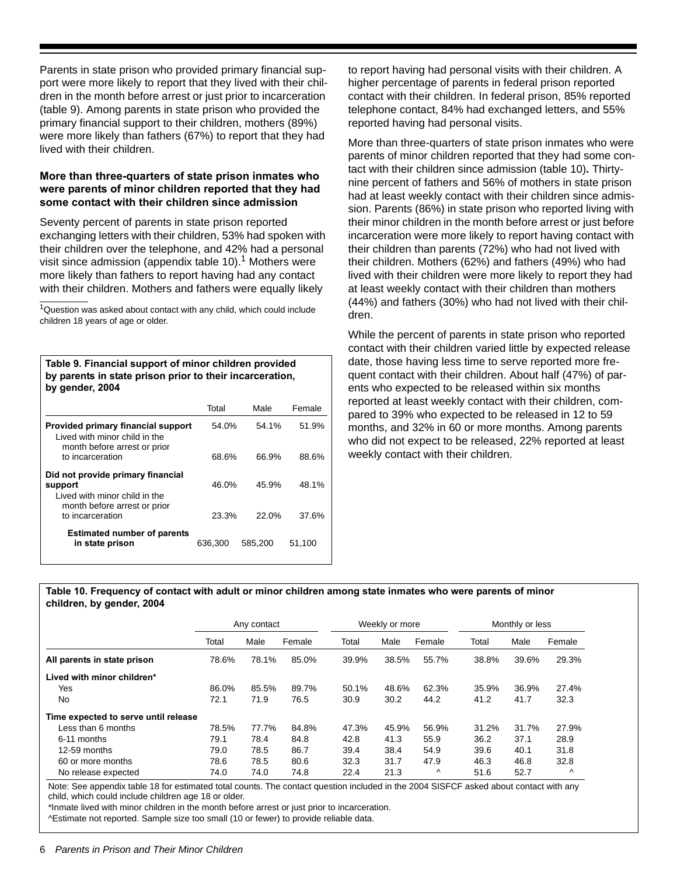Parents in state prison who provided primary financial support were more likely to report that they lived with their children in the month before arrest or just prior to incarceration (table 9). Among parents in state prison who provided the primary financial support to their children, mothers (89%) were more likely than fathers (67%) to report that they had lived with their children.

## **More than three-quarters of state prison inmates who were parents of minor children reported that they had some contact with their children since admission**

Seventy percent of parents in state prison reported exchanging letters with their children, 53% had spoken with their children over the telephone, and 42% had a personal visit since admission (appendix table 10).<sup>1</sup> Mothers were more likely than fathers to report having had any contact with their children. Mothers and fathers were equally likely

 $1$ Question was asked about contact with any child, which could include children 18 years of age or older.

**Table 9. Financial support of minor children provided by parents in state prison prior to their incarceration, by gender, 2004**

|                                                                                                      | Total   | Male    | Female |
|------------------------------------------------------------------------------------------------------|---------|---------|--------|
| Provided primary financial support<br>I ived with minor child in the<br>month before arrest or prior | 54.0%   | 54.1%   | 51.9%  |
| to incarceration                                                                                     | 68.6%   | 66.9%   | 88.6%  |
| Did not provide primary financial<br>support<br>I ived with minor child in the                       | 46.0%   | 45.9%   | 48.1%  |
| month before arrest or prior<br>to incarceration                                                     | 23.3%   | 22.0%   | 37.6%  |
| <b>Estimated number of parents</b><br>in state prison                                                | 636.300 | 585.200 | 51.100 |

to report having had personal visits with their children. A higher percentage of parents in federal prison reported contact with their children. In federal prison, 85% reported telephone contact, 84% had exchanged letters, and 55% reported having had personal visits.

More than three-quarters of state prison inmates who were parents of minor children reported that they had some contact with their children since admission (table 10)**.** Thirtynine percent of fathers and 56% of mothers in state prison had at least weekly contact with their children since admission. Parents (86%) in state prison who reported living with their minor children in the month before arrest or just before incarceration were more likely to report having contact with their children than parents (72%) who had not lived with their children. Mothers (62%) and fathers (49%) who had lived with their children were more likely to report they had at least weekly contact with their children than mothers (44%) and fathers (30%) who had not lived with their children.

While the percent of parents in state prison who reported contact with their children varied little by expected release date, those having less time to serve reported more frequent contact with their children. About half (47%) of parents who expected to be released within six months reported at least weekly contact with their children, compared to 39% who expected to be released in 12 to 59 months, and 32% in 60 or more months. Among parents who did not expect to be released, 22% reported at least weekly contact with their children.

#### **Table 10. Frequency of contact with adult or minor children among state inmates who were parents of minor children, by gender, 2004**

|                                      | Any contact |       |        | Weekly or more |       | Monthly or less |       |       |           |
|--------------------------------------|-------------|-------|--------|----------------|-------|-----------------|-------|-------|-----------|
|                                      | Total       | Male  | Female | Total          | Male  | Female          | Total | Male  | Female    |
| All parents in state prison          | 78.6%       | 78.1% | 85.0%  | 39.9%          | 38.5% | 55.7%           | 38.8% | 39.6% | 29.3%     |
| Lived with minor children*           |             |       |        |                |       |                 |       |       |           |
| Yes                                  | 86.0%       | 85.5% | 89.7%  | 50.1%          | 48.6% | 62.3%           | 35.9% | 36.9% | 27.4%     |
| No                                   | 72.1        | 71.9  | 76.5   | 30.9           | 30.2  | 44.2            | 41.2  | 41.7  | 32.3      |
| Time expected to serve until release |             |       |        |                |       |                 |       |       |           |
| Less than 6 months                   | 78.5%       | 77.7% | 84.8%  | 47.3%          | 45.9% | 56.9%           | 31.2% | 31.7% | 27.9%     |
| 6-11 months                          | 79.1        | 78.4  | 84.8   | 42.8           | 41.3  | 55.9            | 36.2  | 37.1  | 28.9      |
| 12-59 months                         | 79.0        | 78.5  | 86.7   | 39.4           | 38.4  | 54.9            | 39.6  | 40.1  | 31.8      |
| 60 or more months                    | 78.6        | 78.5  | 80.6   | 32.3           | 31.7  | 47.9            | 46.3  | 46.8  | 32.8      |
| No release expected                  | 74.0        | 74.0  | 74.8   | 22.4           | 21.3  | Λ               | 51.6  | 52.7  | $\lambda$ |

Note: See appendix table 18 for estimated total counts. The contact question included in the 2004 SISFCF asked about contact with any child, which could include children age 18 or older.

\*Inmate lived with minor children in the month before arrest or just prior to incarceration.

^Estimate not reported. Sample size too small (10 or fewer) to provide reliable data.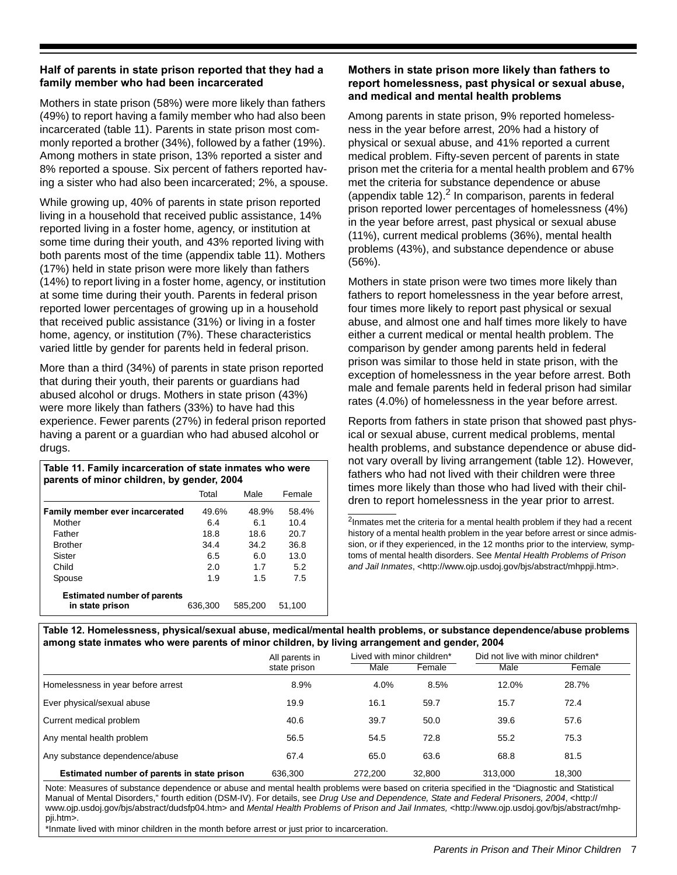## **Half of parents in state prison reported that they had a family member who had been incarcerated**

Mothers in state prison (58%) were more likely than fathers (49%) to report having a family member who had also been incarcerated (table 11). Parents in state prison most commonly reported a brother (34%), followed by a father (19%). Among mothers in state prison, 13% reported a sister and 8% reported a spouse. Six percent of fathers reported having a sister who had also been incarcerated; 2%, a spouse.

While growing up, 40% of parents in state prison reported living in a household that received public assistance, 14% reported living in a foster home, agency, or institution at some time during their youth, and 43% reported living with both parents most of the time (appendix table 11). Mothers (17%) held in state prison were more likely than fathers (14%) to report living in a foster home, agency, or institution at some time during their youth. Parents in federal prison reported lower percentages of growing up in a household that received public assistance (31%) or living in a foster home, agency, or institution (7%). These characteristics varied little by gender for parents held in federal prison.

More than a third (34%) of parents in state prison reported that during their youth, their parents or guardians had abused alcohol or drugs. Mothers in state prison (43%) were more likely than fathers (33%) to have had this experience. Fewer parents (27%) in federal prison reported having a parent or a guardian who had abused alcohol or drugs.

| Table 11. Family incarceration of state inmates who were<br>parents of minor children, by gender, 2004 |         |         |        |  |  |  |
|--------------------------------------------------------------------------------------------------------|---------|---------|--------|--|--|--|
|                                                                                                        | Total   | Male    | Female |  |  |  |
| Family member ever incarcerated                                                                        | 49.6%   | 48.9%   | 58.4%  |  |  |  |
| Mother                                                                                                 | 6.4     | 6.1     | 10.4   |  |  |  |
| Father                                                                                                 | 18.8    | 18.6    | 20.7   |  |  |  |
| <b>Brother</b>                                                                                         | 34.4    | 34.2    | 36.8   |  |  |  |
| Sister                                                                                                 | 6.5     | 6.0     | 13.0   |  |  |  |
| Child                                                                                                  | 2.0     | 1.7     | 5.2    |  |  |  |
| Spouse                                                                                                 | 1.9     | 1.5     | 7.5    |  |  |  |
| <b>Estimated number of parents</b><br>in state prison                                                  | 636.300 | 585,200 | 51.100 |  |  |  |

## **Mothers in state prison more likely than fathers to report homelessness, past physical or sexual abuse, and medical and mental health problems**

Among parents in state prison, 9% reported homelessness in the year before arrest, 20% had a history of physical or sexual abuse, and 41% reported a current medical problem. Fifty-seven percent of parents in state prison met the criteria for a mental health problem and 67% met the criteria for substance dependence or abuse (appendix table 12). $^2$  In comparison, parents in federal prison reported lower percentages of homelessness (4%) in the year before arrest, past physical or sexual abuse (11%), current medical problems (36%), mental health problems (43%), and substance dependence or abuse (56%).

Mothers in state prison were two times more likely than fathers to report homelessness in the year before arrest, four times more likely to report past physical or sexual abuse, and almost one and half times more likely to have either a current medical or mental health problem. The comparison by gender among parents held in federal prison was similar to those held in state prison, with the exception of homelessness in the year before arrest. Both male and female parents held in federal prison had similar rates (4.0%) of homelessness in the year before arrest.

Reports from fathers in state prison that showed past physical or sexual abuse, current medical problems, mental health problems, and substance dependence or abuse didnot vary overall by living arrangement (table 12). However, fathers who had not lived with their children were three times more likely than those who had lived with their children to report homelessness in the year prior to arrest.

<sup>2</sup>Inmates met the criteria for a mental health problem if they had a recent history of a mental health problem in the year before arrest or since admission, or if they experienced, in the 12 months prior to the interview, symptoms of mental health disorders. See *Mental Health Problems of Prison and Jail Inmates*, <http://www.ojp.usdoj.gov/bjs/abstract/mhppji.htm>.

**Table 12. Homelessness, physical/sexual abuse, medical/mental health problems, or substance dependence/abuse problems among state inmates who were parents of minor children, by living arrangement and gender, 2004**

|                                             | All parents in | Lived with minor children* |        | Did not live with minor children <sup>*</sup> |        |  |
|---------------------------------------------|----------------|----------------------------|--------|-----------------------------------------------|--------|--|
|                                             | state prison   | Male                       | Female | Male                                          | Female |  |
| Homelessness in year before arrest          | 8.9%           | 4.0%                       | 8.5%   | 12.0%                                         | 28.7%  |  |
| Ever physical/sexual abuse                  | 19.9           | 16.1                       | 59.7   | 15.7                                          | 72.4   |  |
| Current medical problem                     | 40.6           | 39.7                       | 50.0   | 39.6                                          | 57.6   |  |
| Any mental health problem                   | 56.5           | 54.5                       | 72.8   | 55.2                                          | 75.3   |  |
| Any substance dependence/abuse              | 67.4           | 65.0                       | 63.6   | 68.8                                          | 81.5   |  |
| Estimated number of parents in state prison | 636.300        | 272.200                    | 32.800 | 313.000                                       | 18.300 |  |

Note: Measures of substance dependence or abuse and mental health problems were based on criteria specified in the "Diagnostic and Statistical Manual of Mental Disorders," fourth edition (DSM-IV). For details, see *Drug Use and Dependence, State and Federal Prisoners, 2004*, <http:// www.ojp.usdoj.gov/bjs/abstract/dudsfp04.htm> and *Mental Health Problems of Prison and Jail Inmates,* <http://www.ojp.usdoj.gov/bjs/abstract/mhppji.htm>.

\*Inmate lived with minor children in the month before arrest or just prior to incarceration.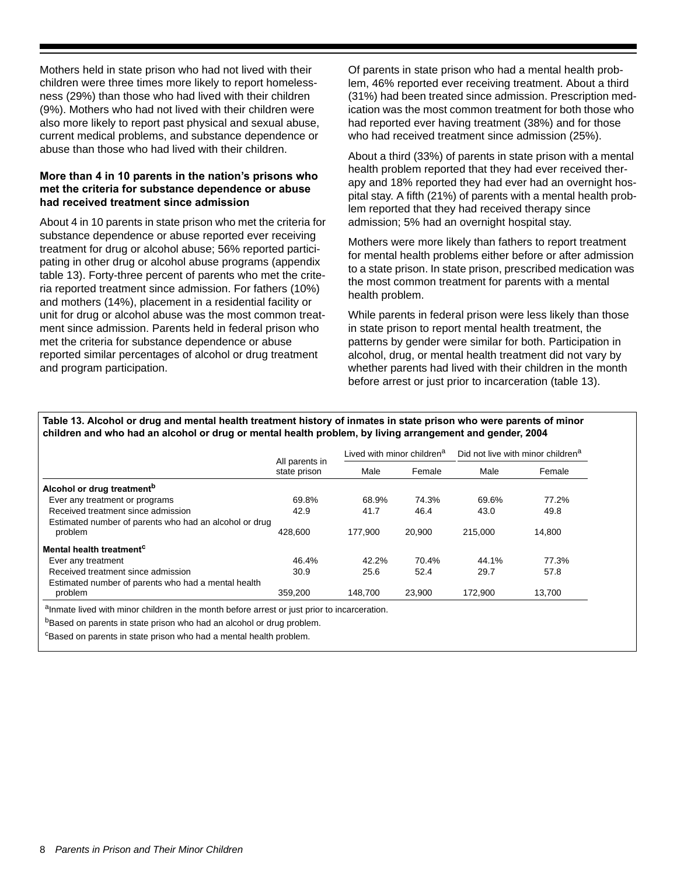Mothers held in state prison who had not lived with their children were three times more likely to report homelessness (29%) than those who had lived with their children (9%). Mothers who had not lived with their children were also more likely to report past physical and sexual abuse, current medical problems, and substance dependence or abuse than those who had lived with their children.

## **More than 4 in 10 parents in the nation's prisons who met the criteria for substance dependence or abuse had received treatment since admission**

About 4 in 10 parents in state prison who met the criteria for substance dependence or abuse reported ever receiving treatment for drug or alcohol abuse; 56% reported participating in other drug or alcohol abuse programs (appendix table 13). Forty-three percent of parents who met the criteria reported treatment since admission. For fathers (10%) and mothers (14%), placement in a residential facility or unit for drug or alcohol abuse was the most common treatment since admission. Parents held in federal prison who met the criteria for substance dependence or abuse reported similar percentages of alcohol or drug treatment and program participation.

Of parents in state prison who had a mental health problem, 46% reported ever receiving treatment. About a third (31%) had been treated since admission. Prescription medication was the most common treatment for both those who had reported ever having treatment (38%) and for those who had received treatment since admission (25%).

About a third (33%) of parents in state prison with a mental health problem reported that they had ever received therapy and 18% reported they had ever had an overnight hospital stay. A fifth (21%) of parents with a mental health problem reported that they had received therapy since admission; 5% had an overnight hospital stay.

Mothers were more likely than fathers to report treatment for mental health problems either before or after admission to a state prison. In state prison, prescribed medication was the most common treatment for parents with a mental health problem.

While parents in federal prison were less likely than those in state prison to report mental health treatment, the patterns by gender were similar for both. Participation in alcohol, drug, or mental health treatment did not vary by whether parents had lived with their children in the month before arrest or just prior to incarceration (table 13).

#### **Table 13. Alcohol or drug and mental health treatment history of inmates in state prison who were parents of minor children and who had an alcohol or drug or mental health problem, by living arrangement and gender, 2004**

|                                                        | All parents in<br>state prison | Lived with minor children <sup>a</sup> |        |         | Did not live with minor children <sup>a</sup> |
|--------------------------------------------------------|--------------------------------|----------------------------------------|--------|---------|-----------------------------------------------|
|                                                        |                                | Male                                   | Female | Male    | Female                                        |
| Alcohol or drug treatment <sup>b</sup>                 |                                |                                        |        |         |                                               |
| Ever any treatment or programs                         | 69.8%                          | 68.9%                                  | 74.3%  | 69.6%   | 77.2%                                         |
| Received treatment since admission                     | 42.9                           | 41.7                                   | 46.4   | 43.0    | 49.8                                          |
| Estimated number of parents who had an alcohol or drug |                                |                                        |        |         |                                               |
| problem                                                | 428.600                        | 177.900                                | 20,900 | 215.000 | 14.800                                        |
| Mental health treatment <sup>c</sup>                   |                                |                                        |        |         |                                               |
| Ever any treatment                                     | 46.4%                          | 42.2%                                  | 70.4%  | 44.1%   | 77.3%                                         |
| Received treatment since admission                     | 30.9                           | 25.6                                   | 52.4   | 29.7    | 57.8                                          |
| Estimated number of parents who had a mental health    |                                |                                        |        |         |                                               |
| problem                                                | 359.200                        | 148.700                                | 23.900 | 172.900 | 13.700                                        |

aInmate lived with minor children in the month before arrest or just prior to incarceration.

bBased on parents in state prison who had an alcohol or drug problem.

<sup>c</sup>Based on parents in state prison who had a mental health problem.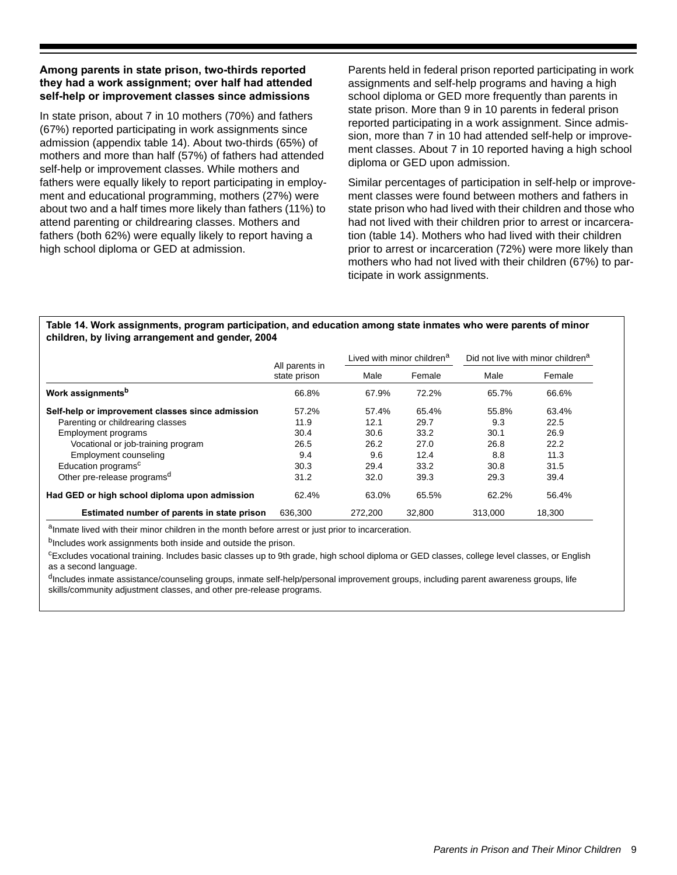## **Among parents in state prison, two-thirds reported they had a work assignment; over half had attended self-help or improvement classes since admissions**

In state prison, about 7 in 10 mothers (70%) and fathers (67%) reported participating in work assignments since admission (appendix table 14). About two-thirds (65%) of mothers and more than half (57%) of fathers had attended self-help or improvement classes. While mothers and fathers were equally likely to report participating in employment and educational programming, mothers (27%) were about two and a half times more likely than fathers (11%) to attend parenting or childrearing classes. Mothers and fathers (both 62%) were equally likely to report having a high school diploma or GED at admission.

Parents held in federal prison reported participating in work assignments and self-help programs and having a high school diploma or GED more frequently than parents in state prison. More than 9 in 10 parents in federal prison reported participating in a work assignment. Since admission, more than 7 in 10 had attended self-help or improvement classes. About 7 in 10 reported having a high school diploma or GED upon admission.

Similar percentages of participation in self-help or improvement classes were found between mothers and fathers in state prison who had lived with their children and those who had not lived with their children prior to arrest or incarceration (table 14). Mothers who had lived with their children prior to arrest or incarceration (72%) were more likely than mothers who had not lived with their children (67%) to participate in work assignments.

#### **Table 14. Work assignments, program participation, and education among state inmates who were parents of minor children, by living arrangement and gender, 2004**

|                                                  |                                                                                                                     |         | Lived with minor children <sup>a</sup> |         | Did not live with minor children <sup>a</sup> |
|--------------------------------------------------|---------------------------------------------------------------------------------------------------------------------|---------|----------------------------------------|---------|-----------------------------------------------|
|                                                  | All parents in<br>state prison<br>66.8%<br>57.2%<br>11.9<br>30.4<br>26.5<br>9.4<br>30.3<br>31.2<br>62.4%<br>636.300 | Male    | Female                                 | Male    | Female                                        |
| Work assignments <sup>b</sup>                    |                                                                                                                     | 67.9%   | 72.2%                                  | 65.7%   | 66.6%                                         |
| Self-help or improvement classes since admission |                                                                                                                     | 57.4%   | 65.4%                                  | 55.8%   | 63.4%                                         |
| Parenting or childrearing classes                |                                                                                                                     | 12.1    | 29.7                                   | 9.3     | 22.5                                          |
| Employment programs                              |                                                                                                                     | 30.6    | 33.2                                   | 30.1    | 26.9                                          |
| Vocational or job-training program               |                                                                                                                     | 26.2    | 27.0                                   | 26.8    | 22.2                                          |
| <b>Employment counseling</b>                     |                                                                                                                     | 9.6     | 12.4                                   | 8.8     | 11.3                                          |
| Education programs <sup>c</sup>                  |                                                                                                                     | 29.4    | 33.2                                   | 30.8    | 31.5                                          |
| Other pre-release programs <sup>d</sup>          |                                                                                                                     | 32.0    | 39.3                                   | 29.3    | 39.4                                          |
| Had GED or high school diploma upon admission    |                                                                                                                     | 63.0%   | 65.5%                                  | 62.2%   | 56.4%                                         |
| Estimated number of parents in state prison      |                                                                                                                     | 272.200 | 32,800                                 | 313.000 | 18.300                                        |

aInmate lived with their minor children in the month before arrest or just prior to incarceration.

b<sub>Includes</sub> work assignments both inside and outside the prison.

<sup>c</sup>Excludes vocational training. Includes basic classes up to 9th grade, high school diploma or GED classes, college level classes, or English as a second language.

<sup>d</sup>Includes inmate assistance/counseling groups, inmate self-help/personal improvement groups, including parent awareness groups, life skills/community adjustment classes, and other pre-release programs.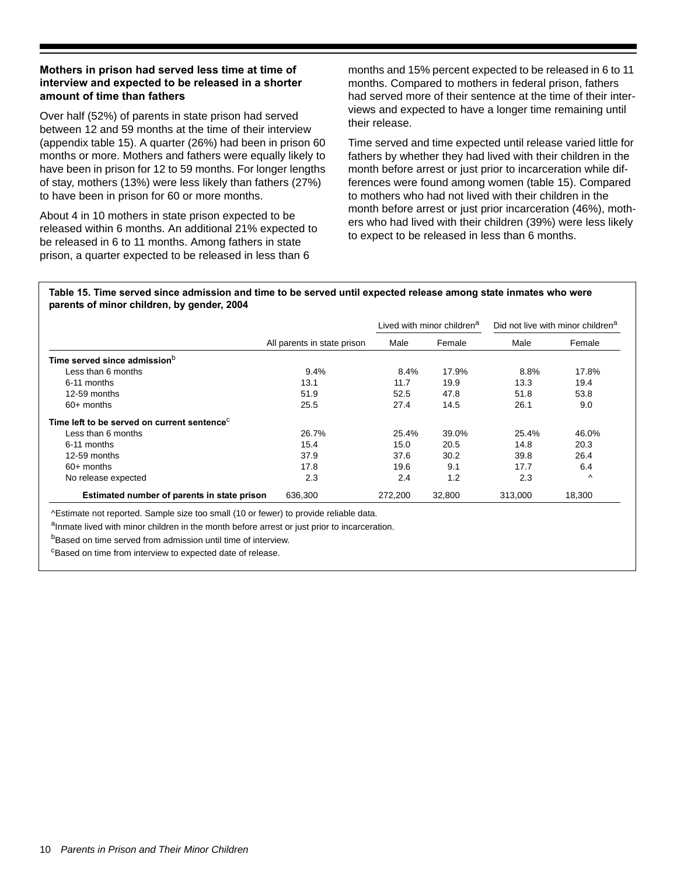## **Mothers in prison had served less time at time of interview and expected to be released in a shorter amount of time than fathers**

Over half (52%) of parents in state prison had served between 12 and 59 months at the time of their interview (appendix table 15). A quarter (26%) had been in prison 60 months or more. Mothers and fathers were equally likely to have been in prison for 12 to 59 months. For longer lengths of stay, mothers (13%) were less likely than fathers (27%) to have been in prison for 60 or more months.

About 4 in 10 mothers in state prison expected to be released within 6 months. An additional 21% expected to be released in 6 to 11 months. Among fathers in state prison, a quarter expected to be released in less than 6

months and 15% percent expected to be released in 6 to 11 months. Compared to mothers in federal prison, fathers had served more of their sentence at the time of their interviews and expected to have a longer time remaining until their release.

Time served and time expected until release varied little for fathers by whether they had lived with their children in the month before arrest or just prior to incarceration while differences were found among women (table 15). Compared to mothers who had not lived with their children in the month before arrest or just prior incarceration (46%), mothers who had lived with their children (39%) were less likely to expect to be released in less than 6 months.

#### **Table 15. Time served since admission and time to be served until expected release among state inmates who were parents of minor children, by gender, 2004**

|                                                         |                             |         | Lived with minor children <sup>a</sup> |         | Did not live with minor children <sup>a</sup> |
|---------------------------------------------------------|-----------------------------|---------|----------------------------------------|---------|-----------------------------------------------|
|                                                         | All parents in state prison | Male    | Female                                 | Male    | Female                                        |
| Time served since admission <sup>b</sup>                |                             |         |                                        |         |                                               |
| Less than 6 months                                      | 9.4%                        | 8.4%    | 17.9%                                  | 8.8%    | 17.8%                                         |
| 6-11 months                                             | 13.1                        | 11.7    | 19.9                                   | 13.3    | 19.4                                          |
| 12-59 months                                            | 51.9                        | 52.5    | 47.8                                   | 51.8    | 53.8                                          |
| $60+$ months                                            | 25.5                        | 27.4    | 14.5                                   | 26.1    | 9.0                                           |
| Time left to be served on current sentence <sup>c</sup> |                             |         |                                        |         |                                               |
| Less than 6 months                                      | 26.7%                       | 25.4%   | 39.0%                                  | 25.4%   | 46.0%                                         |
| 6-11 months                                             | 15.4                        | 15.0    | 20.5                                   | 14.8    | 20.3                                          |
| 12-59 months                                            | 37.9                        | 37.6    | 30.2                                   | 39.8    | 26.4                                          |
| $60+$ months                                            | 17.8                        | 19.6    | 9.1                                    | 17.7    | 6.4                                           |
| No release expected                                     | 2.3                         | 2.4     | 1.2                                    | 2.3     | $\lambda$                                     |
| Estimated number of parents in state prison             | 636,300                     | 272,200 | 32,800                                 | 313,000 | 18.300                                        |

^Estimate not reported. Sample size too small (10 or fewer) to provide reliable data.

aInmate lived with minor children in the month before arrest or just prior to incarceration.

bBased on time served from admission until time of interview.

<sup>c</sup>Based on time from interview to expected date of release.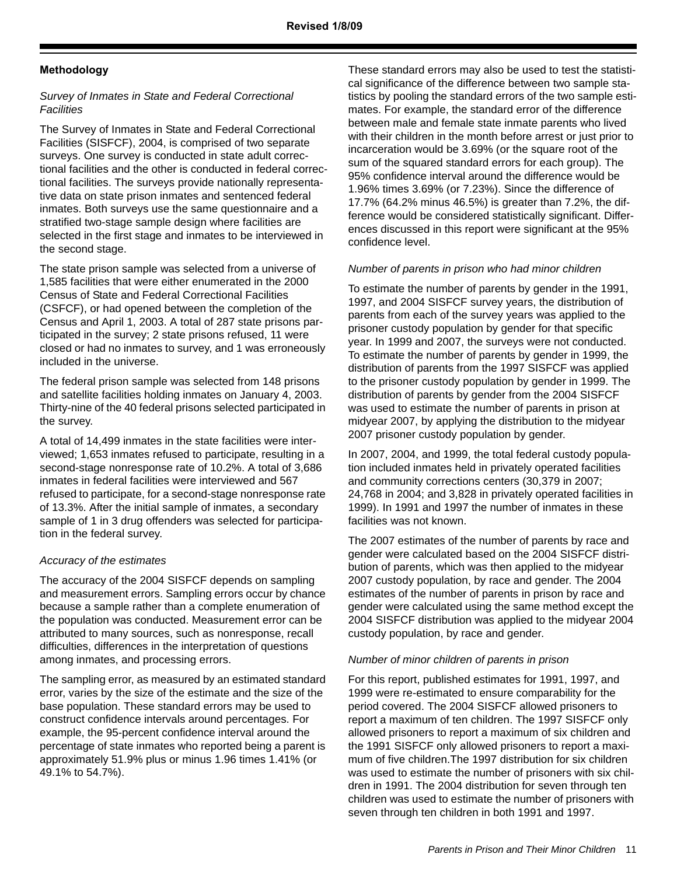## **Methodology**

## *Survey of Inmates in State and Federal Correctional Facilities*

The Survey of Inmates in State and Federal Correctional Facilities (SISFCF), 2004, is comprised of two separate surveys. One survey is conducted in state adult correctional facilities and the other is conducted in federal correctional facilities. The surveys provide nationally representative data on state prison inmates and sentenced federal inmates. Both surveys use the same questionnaire and a stratified two-stage sample design where facilities are selected in the first stage and inmates to be interviewed in the second stage.

The state prison sample was selected from a universe of 1,585 facilities that were either enumerated in the 2000 Census of State and Federal Correctional Facilities (CSFCF), or had opened between the completion of the Census and April 1, 2003. A total of 287 state prisons participated in the survey; 2 state prisons refused, 11 were closed or had no inmates to survey, and 1 was erroneously included in the universe.

The federal prison sample was selected from 148 prisons and satellite facilities holding inmates on January 4, 2003. Thirty-nine of the 40 federal prisons selected participated in the survey.

A total of 14,499 inmates in the state facilities were interviewed; 1,653 inmates refused to participate, resulting in a second-stage nonresponse rate of 10.2%. A total of 3,686 inmates in federal facilities were interviewed and 567 refused to participate, for a second-stage nonresponse rate of 13.3%. After the initial sample of inmates, a secondary sample of 1 in 3 drug offenders was selected for participation in the federal survey.

## *Accuracy of the estimates*

The accuracy of the 2004 SISFCF depends on sampling and measurement errors. Sampling errors occur by chance because a sample rather than a complete enumeration of the population was conducted. Measurement error can be attributed to many sources, such as nonresponse, recall difficulties, differences in the interpretation of questions among inmates, and processing errors.

The sampling error, as measured by an estimated standard error, varies by the size of the estimate and the size of the base population. These standard errors may be used to construct confidence intervals around percentages. For example, the 95-percent confidence interval around the percentage of state inmates who reported being a parent is approximately 51.9% plus or minus 1.96 times 1.41% (or 49.1% to 54.7%).

These standard errors may also be used to test the statistical significance of the difference between two sample statistics by pooling the standard errors of the two sample estimates. For example, the standard error of the difference between male and female state inmate parents who lived with their children in the month before arrest or just prior to incarceration would be 3.69% (or the square root of the sum of the squared standard errors for each group). The 95% confidence interval around the difference would be 1.96% times 3.69% (or 7.23%). Since the difference of 17.7% (64.2% minus 46.5%) is greater than 7.2%, the difference would be considered statistically significant. Differences discussed in this report were significant at the 95% confidence level.

## *Number of parents in prison who had minor children*

To estimate the number of parents by gender in the 1991, 1997, and 2004 SISFCF survey years, the distribution of parents from each of the survey years was applied to the prisoner custody population by gender for that specific year. In 1999 and 2007, the surveys were not conducted. To estimate the number of parents by gender in 1999, the distribution of parents from the 1997 SISFCF was applied to the prisoner custody population by gender in 1999. The distribution of parents by gender from the 2004 SISFCF was used to estimate the number of parents in prison at midyear 2007, by applying the distribution to the midyear 2007 prisoner custody population by gender.

In 2007, 2004, and 1999, the total federal custody population included inmates held in privately operated facilities and community corrections centers (30,379 in 2007; 24,768 in 2004; and 3,828 in privately operated facilities in 1999). In 1991 and 1997 the number of inmates in these facilities was not known.

The 2007 estimates of the number of parents by race and gender were calculated based on the 2004 SISFCF distribution of parents, which was then applied to the midyear 2007 custody population, by race and gender. The 2004 estimates of the number of parents in prison by race and gender were calculated using the same method except the 2004 SISFCF distribution was applied to the midyear 2004 custody population, by race and gender.

## *Number of minor children of parents in prison*

For this report, published estimates for 1991, 1997, and 1999 were re-estimated to ensure comparability for the period covered. The 2004 SISFCF allowed prisoners to report a maximum of ten children. The 1997 SISFCF only allowed prisoners to report a maximum of six children and the 1991 SISFCF only allowed prisoners to report a maximum of five children.The 1997 distribution for six children was used to estimate the number of prisoners with six children in 1991. The 2004 distribution for seven through ten children was used to estimate the number of prisoners with seven through ten children in both 1991 and 1997.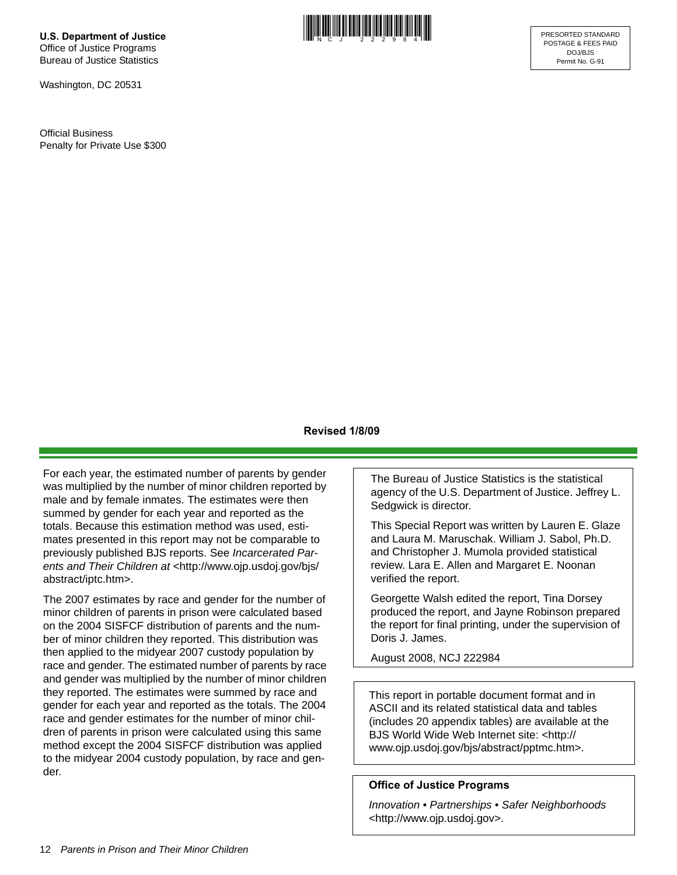**U.S. Department of Justice** Office of Justice Programs Bureau of Justice Statistics

Washington, DC 20531

Official Business Penalty for Private Use \$300



## **Revised 1/8/09**

For each year, the estimated number of parents by gender was multiplied by the number of minor children reported by male and by female inmates. The estimates were then summed by gender for each year and reported as the totals. Because this estimation method was used, estimates presented in this report may not be comparable to previously published BJS reports. See *Incarcerated Par*ents and Their Children at <http://www.ojp.usdoj.gov/bjs/ abstract/iptc.htm>.

The 2007 estimates by race and gender for the number of minor children of parents in prison were calculated based on the 2004 SISFCF distribution of parents and the number of minor children they reported. This distribution was then applied to the midyear 2007 custody population by race and gender. The estimated number of parents by race and gender was multiplied by the number of minor children they reported. The estimates were summed by race and gender for each year and reported as the totals. The 2004 race and gender estimates for the number of minor children of parents in prison were calculated using this same method except the 2004 SISFCF distribution was applied to the midyear 2004 custody population, by race and gender.

The Bureau of Justice Statistics is the statistical agency of the U.S. Department of Justice. Jeffrey L. Sedgwick is director.

This Special Report was written by Lauren E. Glaze and Laura M. Maruschak. William J. Sabol, Ph.D. and Christopher J. Mumola provided statistical review. Lara E. Allen and Margaret E. Noonan verified the report.

Georgette Walsh edited the report, Tina Dorsey produced the report, and Jayne Robinson prepared the report for final printing, under the supervision of Doris J. James.

August 2008, NCJ 222984

This report in portable document format and in ASCII and its related statistical data and tables (includes 20 appendix tables) are available at the BJS World Wide Web Internet site: <http:// www.ojp.usdoj.gov/bjs/abstract/pptmc.htm>.

## **Office of Justice Programs**

*Innovation • Partnerships • Safer Neighborhoods* <http://www.ojp.usdoj.gov>.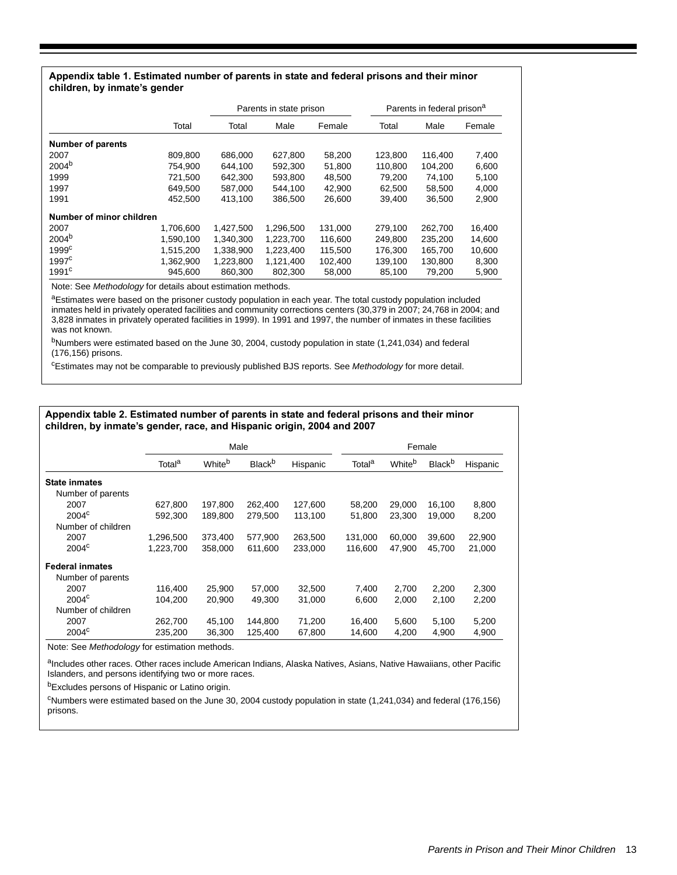#### **Appendix table 1. Estimated number of parents in state and federal prisons and their minor children, by inmate's gender**

|                          |           |           | Parents in state prison |         |         | Parents in federal prison <sup>a</sup> |        |
|--------------------------|-----------|-----------|-------------------------|---------|---------|----------------------------------------|--------|
|                          | Total     | Total     | Male                    | Female  | Total   | Male                                   | Female |
| <b>Number of parents</b> |           |           |                         |         |         |                                        |        |
| 2007                     | 809,800   | 686,000   | 627.800                 | 58,200  | 123.800 | 116,400                                | 7,400  |
| $2004^{b}$               | 754,900   | 644,100   | 592,300                 | 51,800  | 110,800 | 104,200                                | 6,600  |
| 1999                     | 721.500   | 642,300   | 593.800                 | 48,500  | 79.200  | 74,100                                 | 5,100  |
| 1997                     | 649.500   | 587.000   | 544.100                 | 42.900  | 62.500  | 58.500                                 | 4,000  |
| 1991                     | 452,500   | 413,100   | 386,500                 | 26,600  | 39,400  | 36,500                                 | 2,900  |
| Number of minor children |           |           |                         |         |         |                                        |        |
| 2007                     | 1,706,600 | 1.427.500 | 1,296,500               | 131,000 | 279.100 | 262,700                                | 16,400 |
| 2004 <sup>b</sup>        | 1.590.100 | 1,340,300 | 1,223,700               | 116,600 | 249.800 | 235,200                                | 14,600 |
| 1999 <sup>c</sup>        | 1,515,200 | 1,338,900 | 1,223,400               | 115,500 | 176,300 | 165,700                                | 10,600 |
| 1997 <sup>c</sup>        | 1.362.900 | 1,223,800 | 1,121,400               | 102,400 | 139.100 | 130,800                                | 8,300  |
| 1991 <sup>c</sup>        | 945.600   | 860,300   | 802,300                 | 58,000  | 85,100  | 79,200                                 | 5,900  |

Note: See *Methodology* for details about estimation methods.

aEstimates were based on the prisoner custody population in each year. The total custody population included inmates held in privately operated facilities and community corrections centers (30,379 in 2007; 24,768 in 2004; and 3,828 inmates in privately operated facilities in 1999). In 1991 and 1997, the number of inmates in these facilities was not known.

<sup>b</sup>Numbers were estimated based on the June 30, 2004, custody population in state (1,241,034) and federal (176,156) prisons.

c Estimates may not be comparable to previously published BJS reports. See *Methodology* for more detail.

#### **Appendix table 2. Estimated number of parents in state and federal prisons and their minor children, by inmate's gender, race, and Hispanic origin, 2004 and 2007**

|                        |                    | Male               |                           |          |                    |        | Female                    |          |
|------------------------|--------------------|--------------------|---------------------------|----------|--------------------|--------|---------------------------|----------|
|                        | Total <sup>a</sup> | White <sup>b</sup> | <b>Black</b> <sup>b</sup> | Hispanic | Total <sup>a</sup> | Whiteb | <b>Black</b> <sup>b</sup> | Hispanic |
| <b>State inmates</b>   |                    |                    |                           |          |                    |        |                           |          |
| Number of parents      |                    |                    |                           |          |                    |        |                           |          |
| 2007                   | 627,800            | 197,800            | 262,400                   | 127,600  | 58,200             | 29,000 | 16,100                    | 8,800    |
| $2004^{\circ}$         | 592,300            | 189,800            | 279,500                   | 113,100  | 51,800             | 23,300 | 19,000                    | 8,200    |
| Number of children     |                    |                    |                           |          |                    |        |                           |          |
| 2007                   | 1,296,500          | 373,400            | 577,900                   | 263,500  | 131,000            | 60.000 | 39,600                    | 22,900   |
| $2004^{\circ}$         | 1,223,700          | 358,000            | 611,600                   | 233,000  | 116,600            | 47,900 | 45,700                    | 21,000   |
| <b>Federal inmates</b> |                    |                    |                           |          |                    |        |                           |          |
| Number of parents      |                    |                    |                           |          |                    |        |                           |          |
| 2007                   | 116,400            | 25,900             | 57,000                    | 32,500   | 7.400              | 2,700  | 2,200                     | 2,300    |
| 2004 <sup>c</sup>      | 104,200            | 20,900             | 49,300                    | 31,000   | 6,600              | 2,000  | 2,100                     | 2,200    |
| Number of children     |                    |                    |                           |          |                    |        |                           |          |
| 2007                   | 262,700            | 45,100             | 144,800                   | 71,200   | 16,400             | 5,600  | 5,100                     | 5,200    |
| $2004^{\circ}$         | 235,200            | 36.300             | 125,400                   | 67,800   | 14,600             | 4,200  | 4.900                     | 4,900    |

Note: See *Methodology* for estimation methods.

aIncludes other races. Other races include American Indians, Alaska Natives, Asians, Native Hawaiians, other Pacific Islanders, and persons identifying two or more races.

bExcludes persons of Hispanic or Latino origin.

 $c$ Numbers were estimated based on the June 30, 2004 custody population in state (1,241,034) and federal (176,156) prisons.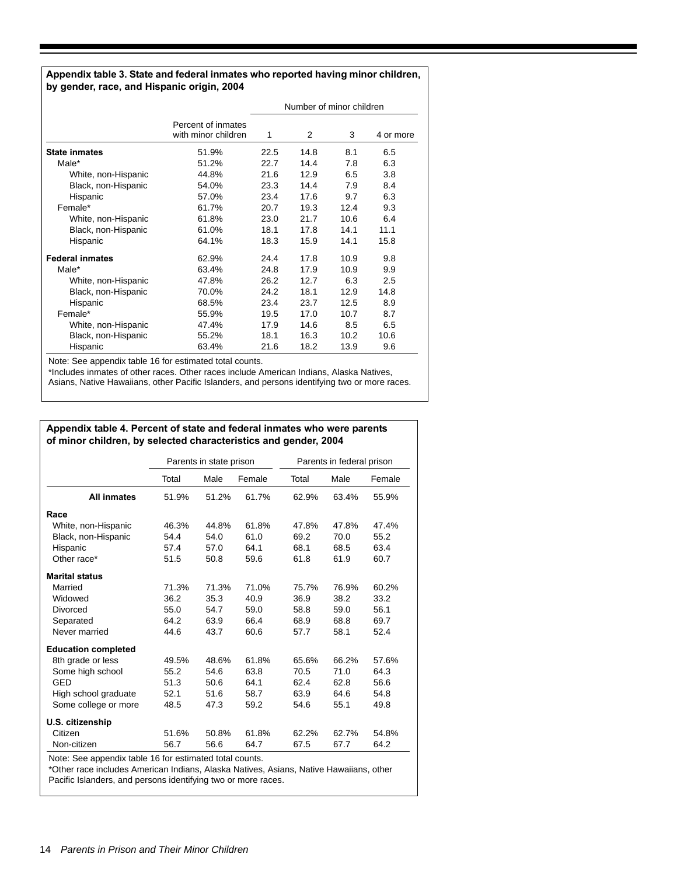#### **Appendix table 3. State and federal inmates who reported having minor children, by gender, race, and Hispanic origin, 2004**

|                        |                                           |      | Number of minor children |      |           |
|------------------------|-------------------------------------------|------|--------------------------|------|-----------|
|                        | Percent of inmates<br>with minor children | 1    | 2                        | 3    | 4 or more |
| <b>State inmates</b>   | 51.9%                                     | 22.5 | 14.8                     | 8.1  | 6.5       |
| Male*                  | 51.2%                                     | 22.7 | 14.4                     | 7.8  | 6.3       |
| White, non-Hispanic    | 44.8%                                     | 21.6 | 12.9                     | 6.5  | 3.8       |
| Black, non-Hispanic    | 54.0%                                     | 23.3 | 14.4                     | 7.9  | 8.4       |
| Hispanic               | 57.0%                                     | 23.4 | 17.6                     | 9.7  | 6.3       |
| Female*                | 61.7%                                     | 20.7 | 19.3                     | 12.4 | 9.3       |
| White, non-Hispanic    | 61.8%                                     | 23.0 | 21.7                     | 10.6 | 6.4       |
| Black, non-Hispanic    | 61.0%                                     | 18.1 | 17.8                     | 14.1 | 11.1      |
| Hispanic               | 64.1%                                     | 18.3 | 15.9                     | 14.1 | 15.8      |
| <b>Federal inmates</b> | 62.9%                                     | 24.4 | 17.8                     | 10.9 | 9.8       |
| Male*                  | 63.4%                                     | 24.8 | 17.9                     | 10.9 | 9.9       |
| White, non-Hispanic    | 47.8%                                     | 26.2 | 12.7                     | 6.3  | 2.5       |
| Black, non-Hispanic    | 70.0%                                     | 24.2 | 18.1                     | 12.9 | 14.8      |
| Hispanic               | 68.5%                                     | 23.4 | 23.7                     | 12.5 | 8.9       |
| Female*                | 55.9%                                     | 19.5 | 17.0                     | 10.7 | 8.7       |
| White, non-Hispanic    | 47.4%                                     | 17.9 | 14.6                     | 8.5  | 6.5       |
| Black, non-Hispanic    | 55.2%                                     | 18.1 | 16.3                     | 10.2 | 10.6      |
| Hispanic               | 63.4%                                     | 21.6 | 18.2                     | 13.9 | 9.6       |

Note: See appendix table 16 for estimated total counts.

\*Includes inmates of other races. Other races include American Indians, Alaska Natives, Asians, Native Hawaiians, other Pacific Islanders, and persons identifying two or more races.

#### **Appendix table 4. Percent of state and federal inmates who were parents of minor children, by selected characteristics and gender, 2004**

|       |       | Parents in state prison |       | Parents in federal prison                               |        |
|-------|-------|-------------------------|-------|---------------------------------------------------------|--------|
| Total | Male  | Female                  | Total | Male                                                    | Female |
| 51.9% | 51.2% | 61.7%                   | 62.9% | 63.4%                                                   | 55.9%  |
|       |       |                         |       |                                                         |        |
| 46.3% | 44.8% | 61.8%                   | 47.8% | 47.8%                                                   | 47.4%  |
| 54.4  | 54.0  | 61.0                    | 69.2  | 70.0                                                    | 55.2   |
| 57.4  | 57.0  | 64.1                    | 68.1  | 68.5                                                    | 63.4   |
| 51.5  | 50.8  | 59.6                    | 61.8  | 61.9                                                    | 60.7   |
|       |       |                         |       |                                                         |        |
| 71.3% | 71.3% | 71.0%                   | 75.7% | 76.9%                                                   | 60.2%  |
| 36.2  | 35.3  | 40.9                    | 36.9  | 38.2                                                    | 33.2   |
| 55.0  | 54.7  | 59.0                    | 58.8  | 59.0                                                    | 56.1   |
| 64.2  | 63.9  | 66.4                    | 68.9  | 68.8                                                    | 69.7   |
| 44.6  | 43.7  | 60.6                    | 57.7  | 58.1                                                    | 52.4   |
|       |       |                         |       |                                                         |        |
| 49.5% | 48.6% | 61.8%                   | 65.6% | 66.2%                                                   | 57.6%  |
| 55.2  | 54.6  | 63.8                    | 70.5  | 71.0                                                    | 64.3   |
| 51.3  | 50.6  | 64.1                    | 62.4  | 62.8                                                    | 56.6   |
| 52.1  | 51.6  | 58.7                    | 63.9  | 64.6                                                    | 54.8   |
| 48.5  | 47.3  | 59.2                    | 54.6  | 55.1                                                    | 49.8   |
|       |       |                         |       |                                                         |        |
| 51.6% | 50.8% | 61.8%                   | 62.2% | 62.7%                                                   | 54.8%  |
| 56.7  | 56.6  | 64.7                    | 67.5  | 67.7                                                    | 64.2   |
|       |       |                         |       | Note: See appendix table 16 for estimated total counts. |        |

\*Other race includes American Indians, Alaska Natives, Asians, Native Hawaiians, other Pacific Islanders, and persons identifying two or more races.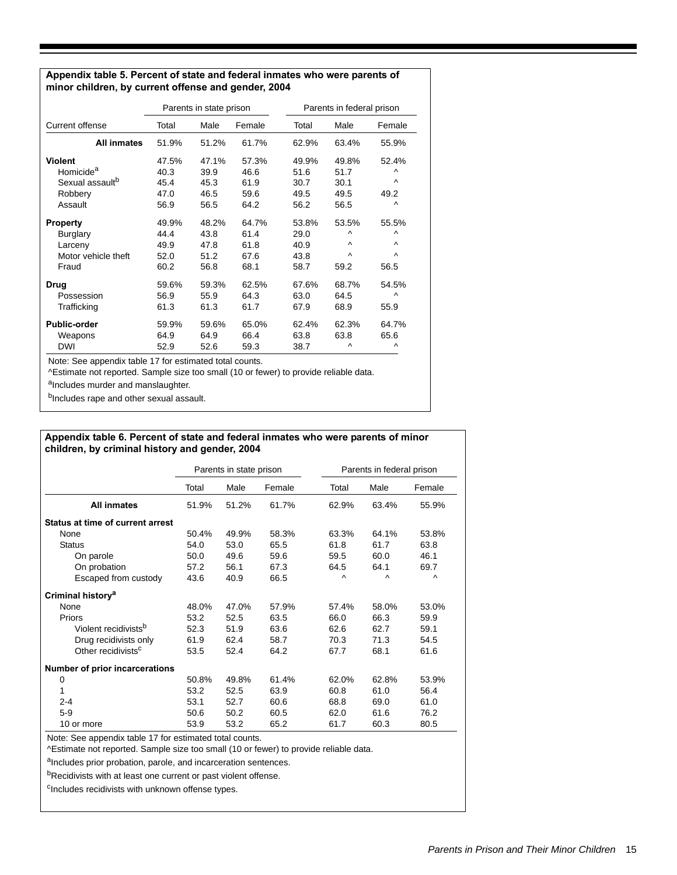#### **Appendix table 5. Percent of state and federal inmates who were parents of minor children, by current offense and gender, 2004**

|                             |       | Parents in state prison |        |       | Parents in federal prison |           |  |  |
|-----------------------------|-------|-------------------------|--------|-------|---------------------------|-----------|--|--|
| Current offense             | Total | Male                    | Female | Total | Male                      | Female    |  |  |
| <b>All inmates</b>          | 51.9% | 51.2%                   | 61.7%  | 62.9% | 63.4%                     | 55.9%     |  |  |
| <b>Violent</b>              | 47.5% | 47.1%                   | 57.3%  | 49.9% | 49.8%                     | 52.4%     |  |  |
| Homicide <sup>a</sup>       | 40.3  | 39.9                    | 46.6   | 51.6  | 51.7                      | ٨         |  |  |
| Sexual assault <sup>b</sup> | 45.4  | 45.3                    | 61.9   | 30.7  | 30.1                      | $\lambda$ |  |  |
| Robbery                     | 47.0  | 46.5                    | 59.6   | 49.5  | 49.5                      | 49.2      |  |  |
| Assault                     | 56.9  | 56.5                    | 64.2   | 56.2  | 56.5                      | $\wedge$  |  |  |
| <b>Property</b>             | 49.9% | 48.2%                   | 64.7%  | 53.8% | 53.5%                     | 55.5%     |  |  |
| <b>Burglary</b>             | 44.4  | 43.8                    | 61.4   | 29.0  | $\lambda$                 | $\lambda$ |  |  |
| Larceny                     | 49.9  | 47.8                    | 61.8   | 40.9  | $\lambda$                 | $\wedge$  |  |  |
| Motor vehicle theft         | 52.0  | 51.2                    | 67.6   | 43.8  | $\wedge$                  | $\lambda$ |  |  |
| Fraud                       | 60.2  | 56.8                    | 68.1   | 58.7  | 59.2                      | 56.5      |  |  |
| Drug                        | 59.6% | 59.3%                   | 62.5%  | 67.6% | 68.7%                     | 54.5%     |  |  |
| Possession                  | 56.9  | 55.9                    | 64.3   | 63.0  | 64.5                      | $\wedge$  |  |  |
| Trafficking                 | 61.3  | 61.3                    | 61.7   | 67.9  | 68.9                      | 55.9      |  |  |
| <b>Public-order</b>         | 59.9% | 59.6%                   | 65.0%  | 62.4% | 62.3%                     | 64.7%     |  |  |
| Weapons                     | 64.9  | 64.9                    | 66.4   | 63.8  | 63.8                      | 65.6      |  |  |
| <b>DWI</b>                  | 52.9  | 52.6                    | 59.3   | 38.7  | $\lambda$                 | Λ         |  |  |

Note: See appendix table 17 for estimated total counts.

^Estimate not reported. Sample size too small (10 or fewer) to provide reliable data.

aIncludes murder and manslaughter.

b<sub>Includes</sub> rape and other sexual assault.

#### **Appendix table 6. Percent of state and federal inmates who were parents of minor children, by criminal history and gender, 2004**

|                                  |       | Parents in state prison |        |          | Parents in federal prison |        |
|----------------------------------|-------|-------------------------|--------|----------|---------------------------|--------|
|                                  | Total | Male                    | Female | Total    | Male                      | Female |
| <b>All inmates</b>               | 51.9% | 51.2%                   | 61.7%  | 62.9%    | 63.4%                     | 55.9%  |
| Status at time of current arrest |       |                         |        |          |                           |        |
| None                             | 50.4% | 49.9%                   | 58.3%  | 63.3%    | 64.1%                     | 53.8%  |
| <b>Status</b>                    | 54.0  | 53.0                    | 65.5   | 61.8     | 61.7                      | 63.8   |
| On parole                        | 50.0  | 49.6                    | 59.6   | 59.5     | 60.0                      | 46.1   |
| On probation                     | 57.2  | 56.1                    | 67.3   | 64.5     | 64.1                      | 69.7   |
| Escaped from custody             | 43.6  | 40.9                    | 66.5   | $\wedge$ | Λ                         | Λ      |
| Criminal history <sup>a</sup>    |       |                         |        |          |                           |        |
| None                             | 48.0% | 47.0%                   | 57.9%  | 57.4%    | 58.0%                     | 53.0%  |
| Priors                           | 53.2  | 52.5                    | 63.5   | 66.0     | 66.3                      | 59.9   |
| Violent recidivists <sup>b</sup> | 52.3  | 51.9                    | 63.6   | 62.6     | 62.7                      | 59.1   |
| Drug recidivists only            | 61.9  | 62.4                    | 58.7   | 70.3     | 71.3                      | 54.5   |
| Other recidivists <sup>c</sup>   | 53.5  | 52.4                    | 64.2   | 67.7     | 68.1                      | 61.6   |
| Number of prior incarcerations   |       |                         |        |          |                           |        |
| 0                                | 50.8% | 49.8%                   | 61.4%  | 62.0%    | 62.8%                     | 53.9%  |
| 1                                | 53.2  | 52.5                    | 63.9   | 60.8     | 61.0                      | 56.4   |
| $2 - 4$                          | 53.1  | 52.7                    | 60.6   | 68.8     | 69.0                      | 61.0   |
| $5-9$                            | 50.6  | 50.2                    | 60.5   | 62.0     | 61.6                      | 76.2   |
| 10 or more                       | 53.9  | 53.2                    | 65.2   | 61.7     | 60.3                      | 80.5   |

Note: See appendix table 17 for estimated total counts.

^Estimate not reported. Sample size too small (10 or fewer) to provide reliable data.

aIncludes prior probation, parole, and incarceration sentences.

bRecidivists with at least one current or past violent offense.

cIncludes recidivists with unknown offense types.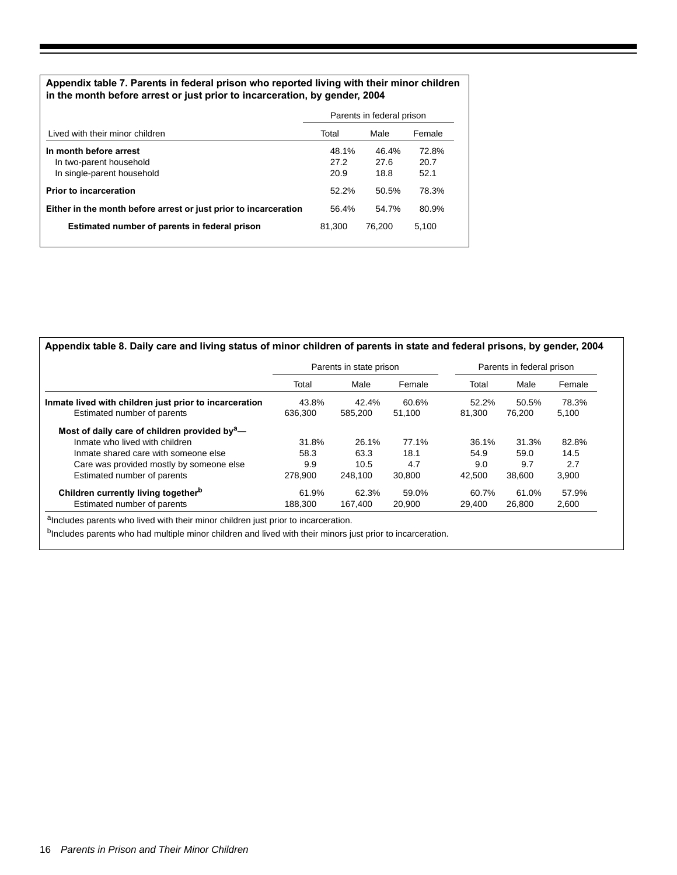## **Appendix table 7. Parents in federal prison who reported living with their minor children in the month before arrest or just prior to incarceration, by gender, 2004**

|                                                                  | Parents in federal prison |        |        |  |  |
|------------------------------------------------------------------|---------------------------|--------|--------|--|--|
| Lived with their minor children                                  | Total                     | Male   | Female |  |  |
| In month before arrest                                           | 48.1%                     | 46.4%  | 72.8%  |  |  |
| In two-parent household                                          | 27.2                      | 27.6   | 20.7   |  |  |
| In single-parent household                                       | 20.9                      | 18.8   | 52.1   |  |  |
| <b>Prior to incarceration</b>                                    | 52.2%                     | 50.5%  | 78.3%  |  |  |
| Either in the month before arrest or just prior to incarceration | 56.4%                     | 54.7%  | 80.9%  |  |  |
| Estimated number of parents in federal prison                    | 81.300                    | 76.200 | 5.100  |  |  |
|                                                                  |                           |        |        |  |  |

| Appendix table 8. Daily care and living status of minor children of parents in state and federal prisons, by gender, 2004 |  |  |
|---------------------------------------------------------------------------------------------------------------------------|--|--|
|---------------------------------------------------------------------------------------------------------------------------|--|--|

|                                                                                       | Parents in state prison |                  |                 |                 | Parents in federal prison |                |
|---------------------------------------------------------------------------------------|-------------------------|------------------|-----------------|-----------------|---------------------------|----------------|
|                                                                                       | Total                   | Male             | Female          | Total           | Male                      | Female         |
| Inmate lived with children just prior to incarceration<br>Estimated number of parents | 43.8%<br>636.300        | 42.4%<br>585.200 | 60.6%<br>51.100 | 52.2%<br>81.300 | 50.5%<br>76.200           | 78.3%<br>5.100 |
| Most of daily care of children provided by $a$ -                                      |                         |                  |                 |                 |                           |                |
| Inmate who lived with children                                                        | 31.8%                   | 26.1%            | 77.1%           | 36.1%           | 31.3%                     | 82.8%          |
| Inmate shared care with someone else                                                  | 58.3                    | 63.3             | 18.1            | 54.9            | 59.0                      | 14.5           |
| Care was provided mostly by someone else                                              | 9.9                     | 10.5             | 4.7             | 9.0             | 9.7                       | 2.7            |
| Estimated number of parents                                                           | 278.900                 | 248.100          | 30.800          | 42.500          | 38,600                    | 3.900          |
| Children currently living together <sup>b</sup>                                       | 61.9%                   | 62.3%            | 59.0%           | 60.7%           | 61.0%                     | 57.9%          |
| Estimated number of parents                                                           | 188.300                 | 167.400          | 20,900          | 29.400          | 26,800                    | 2.600          |

aIncludes parents who lived with their minor children just prior to incarceration.

bIncludes parents who had multiple minor children and lived with their minors just prior to incarceration.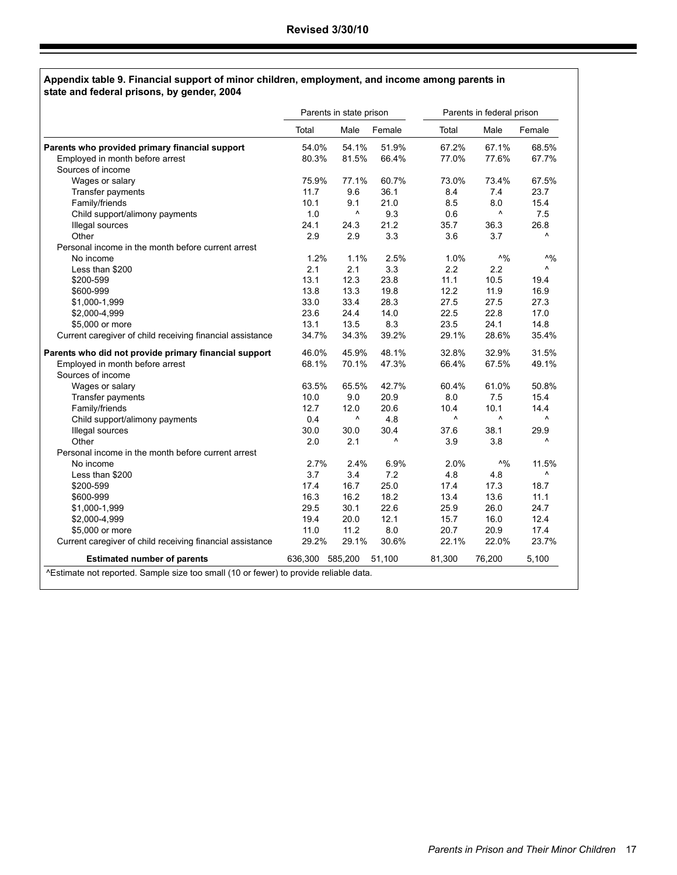#### **Appendix table 9. Financial support of minor children, employment, and income among parents in state and federal prisons, by gender, 2004**

|                                                           |                 | Parents in state prison |        |        | Parents in federal prison |            |
|-----------------------------------------------------------|-----------------|-------------------------|--------|--------|---------------------------|------------|
|                                                           | Total           | Male                    | Female | Total  | Male                      | Female     |
| Parents who provided primary financial support            | 54.0%           | 54.1%                   | 51.9%  | 67.2%  | 67.1%                     | 68.5%      |
| Employed in month before arrest                           | 80.3%           | 81.5%                   | 66.4%  | 77.0%  | 77.6%                     | 67.7%      |
| Sources of income                                         |                 |                         |        |        |                           |            |
| Wages or salary                                           | 75.9%           | 77.1%                   | 60.7%  | 73.0%  | 73.4%                     | 67.5%      |
| Transfer payments                                         | 11.7            | 9.6                     | 36.1   | 8.4    | 7.4                       | 23.7       |
| Family/friends                                            | 10.1            | 9.1                     | 21.0   | 8.5    | 8.0                       | 15.4       |
| Child support/alimony payments                            | 1.0             | ٨                       | 9.3    | 0.6    | ۸                         | 7.5        |
| Illegal sources                                           | 24.1            | 24.3                    | 21.2   | 35.7   | 36.3                      | 26.8       |
| Other                                                     | 2.9             | 2.9                     | 3.3    | 3.6    | 3.7                       | ٨          |
| Personal income in the month before current arrest        |                 |                         |        |        |                           |            |
| No income                                                 | 1.2%            | 1.1%                    | 2.5%   | 1.0%   | $\wedge$ %                | $\wedge$ % |
| Less than \$200                                           | 2.1             | 2.1                     | 3.3    | 2.2    | 2.2                       | ٨          |
| \$200-599                                                 | 13.1            | 12.3                    | 23.8   | 11.1   | 10.5                      | 19.4       |
| \$600-999                                                 | 13.8            | 13.3                    | 19.8   | 12.2   | 11.9                      | 16.9       |
| \$1,000-1,999                                             | 33.0            | 33.4                    | 28.3   | 27.5   | 27.5                      | 27.3       |
| \$2,000-4,999                                             | 23.6            | 24.4                    | 14.0   | 22.5   | 22.8                      | 17.0       |
| \$5,000 or more                                           | 13.1            | 13.5                    | 8.3    | 23.5   | 24.1                      | 14.8       |
| Current caregiver of child receiving financial assistance | 34.7%           | 34.3%                   | 39.2%  | 29.1%  | 28.6%                     | 35.4%      |
| Parents who did not provide primary financial support     | 46.0%           | 45.9%                   | 48.1%  | 32.8%  | 32.9%                     | 31.5%      |
| Employed in month before arrest                           | 68.1%           | 70.1%                   | 47.3%  | 66.4%  | 67.5%                     | 49.1%      |
| Sources of income                                         |                 |                         |        |        |                           |            |
| Wages or salary                                           | 63.5%           | 65.5%                   | 42.7%  | 60.4%  | 61.0%                     | 50.8%      |
| Transfer payments                                         | 10.0            | 9.0                     | 20.9   | 8.0    | 7.5                       | 15.4       |
| Family/friends                                            | 12.7            | 12.0                    | 20.6   | 10.4   | 10.1                      | 14.4       |
| Child support/alimony payments                            | 0.4             | ۸                       | 4.8    | ۸      | ۸                         | ۸          |
| Illegal sources                                           | 30.0            | 30.0                    | 30.4   | 37.6   | 38.1                      | 29.9       |
| Other                                                     | 2.0             | 2.1                     | ۸      | 3.9    | 3.8                       | Λ          |
| Personal income in the month before current arrest        |                 |                         |        |        |                           |            |
| No income                                                 | 2.7%            | 2.4%                    | 6.9%   | 2.0%   | $\Lambda$ <sup>0</sup>    | 11.5%      |
| Less than \$200                                           | 3.7             | 3.4                     | 7.2    | 4.8    | 4.8                       | Λ          |
| \$200-599                                                 | 17.4            | 16.7                    | 25.0   | 17.4   | 17.3                      | 18.7       |
| \$600-999                                                 | 16.3            | 16.2                    | 18.2   | 13.4   | 13.6                      | 11.1       |
| \$1,000-1,999                                             | 29.5            | 30.1                    | 22.6   | 25.9   | 26.0                      | 24.7       |
| \$2,000-4,999                                             | 19.4            | 20.0                    | 12.1   | 15.7   | 16.0                      | 12.4       |
| \$5,000 or more                                           | 11.0            | 11.2                    | 8.0    | 20.7   | 20.9                      | 17.4       |
| Current caregiver of child receiving financial assistance | 29.2%           | 29.1%                   | 30.6%  | 22.1%  | 22.0%                     | 23.7%      |
| <b>Estimated number of parents</b>                        | 636,300 585,200 |                         | 51,100 | 81,300 | 76,200                    | 5,100      |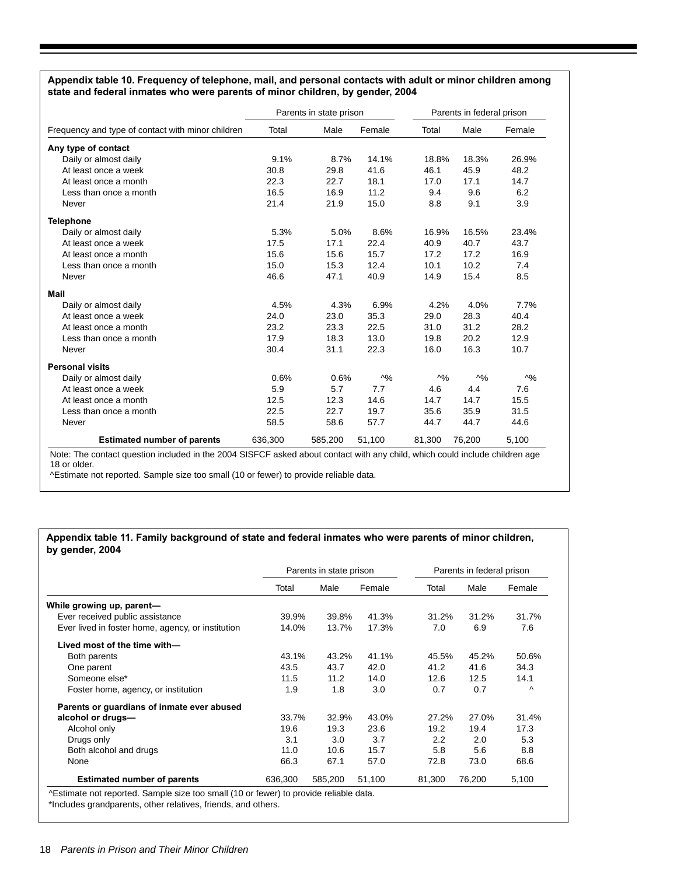#### **Appendix table 10. Frequency of telephone, mail, and personal contacts with adult or minor children among state and federal inmates who were parents of minor children, by gender, 2004**

|                                                   |         | Parents in state prison |            |            | Parents in federal prison |            |  |
|---------------------------------------------------|---------|-------------------------|------------|------------|---------------------------|------------|--|
| Frequency and type of contact with minor children | Total   | Male                    | Female     | Total      | Male                      | Female     |  |
| Any type of contact                               |         |                         |            |            |                           |            |  |
| Daily or almost daily                             | 9.1%    | 8.7%                    | 14.1%      | 18.8%      | 18.3%                     | 26.9%      |  |
| At least once a week                              | 30.8    | 29.8                    | 41.6       | 46.1       | 45.9                      | 48.2       |  |
| At least once a month                             | 22.3    | 22.7                    | 18.1       | 17.0       | 17.1                      | 14.7       |  |
| Less than once a month                            | 16.5    | 16.9                    | 11.2       | 9.4        | 9.6                       | 6.2        |  |
| Never                                             | 21.4    | 21.9                    | 15.0       | 8.8        | 9.1                       | 3.9        |  |
| <b>Telephone</b>                                  |         |                         |            |            |                           |            |  |
| Daily or almost daily                             | 5.3%    | 5.0%                    | 8.6%       | 16.9%      | 16.5%                     | 23.4%      |  |
| At least once a week                              | 17.5    | 17.1                    | 22.4       | 40.9       | 40.7                      | 43.7       |  |
| At least once a month                             | 15.6    | 15.6                    | 15.7       | 17.2       | 17.2                      | 16.9       |  |
| Less than once a month                            | 15.0    | 15.3                    | 12.4       | 10.1       | 10.2                      | 7.4        |  |
| Never                                             | 46.6    | 47.1                    | 40.9       | 14.9       | 15.4                      | 8.5        |  |
| Mail                                              |         |                         |            |            |                           |            |  |
| Daily or almost daily                             | 4.5%    | 4.3%                    | 6.9%       | 4.2%       | 4.0%                      | 7.7%       |  |
| At least once a week                              | 24.0    | 23.0                    | 35.3       | 29.0       | 28.3                      | 40.4       |  |
| At least once a month                             | 23.2    | 23.3                    | 22.5       | 31.0       | 31.2                      | 28.2       |  |
| Less than once a month                            | 17.9    | 18.3                    | 13.0       | 19.8       | 20.2                      | 12.9       |  |
| Never                                             | 30.4    | 31.1                    | 22.3       | 16.0       | 16.3                      | 10.7       |  |
| <b>Personal visits</b>                            |         |                         |            |            |                           |            |  |
| Daily or almost daily                             | 0.6%    | 0.6%                    | $\wedge$ % | $\wedge$ % | $\wedge$ %                | $\wedge$ % |  |
| At least once a week                              | 5.9     | 5.7                     | 7.7        | 4.6        | 4.4                       | 7.6        |  |
| At least once a month                             | 12.5    | 12.3                    | 14.6       | 14.7       | 14.7                      | 15.5       |  |
| Less than once a month                            | 22.5    | 22.7                    | 19.7       | 35.6       | 35.9                      | 31.5       |  |
| Never                                             | 58.5    | 58.6                    | 57.7       | 44.7       | 44.7                      | 44.6       |  |
| <b>Estimated number of parents</b>                | 636,300 | 585,200                 | 51,100     | 81,300     | 76,200                    | 5,100      |  |

^Estimate not reported. Sample size too small (10 or fewer) to provide reliable data.

#### **Appendix table 11. Family background of state and federal inmates who were parents of minor children, by gender, 2004**

|                                                   | Parents in state prison |         |        |        | Parents in federal prison |        |  |
|---------------------------------------------------|-------------------------|---------|--------|--------|---------------------------|--------|--|
|                                                   | Total                   | Male    | Female | Total  | Male                      | Female |  |
| While growing up, parent-                         |                         |         |        |        |                           |        |  |
| Ever received public assistance                   | 39.9%                   | 39.8%   | 41.3%  | 31.2%  | 31.2%                     | 31.7%  |  |
| Ever lived in foster home, agency, or institution | 14.0%                   | 13.7%   | 17.3%  | 7.0    | 6.9                       | 7.6    |  |
| Lived most of the time with-                      |                         |         |        |        |                           |        |  |
| Both parents                                      | 43.1%                   | 43.2%   | 41.1%  | 45.5%  | 45.2%                     | 50.6%  |  |
| One parent                                        | 43.5                    | 43.7    | 42.0   | 41.2   | 41.6                      | 34.3   |  |
| Someone else*                                     | 11.5                    | 11.2    | 14.0   | 12.6   | 12.5                      | 14.1   |  |
| Foster home, agency, or institution               | 1.9                     | 1.8     | 3.0    | 0.7    | 0.7                       | Λ      |  |
| Parents or guardians of inmate ever abused        |                         |         |        |        |                           |        |  |
| alcohol or drugs-                                 | 33.7%                   | 32.9%   | 43.0%  | 27.2%  | 27.0%                     | 31.4%  |  |
| Alcohol only                                      | 19.6                    | 19.3    | 23.6   | 19.2   | 19.4                      | 17.3   |  |
| Drugs only                                        | 3.1                     | 3.0     | 3.7    | 2.2    | 2.0                       | 5.3    |  |
| Both alcohol and drugs                            | 11.0                    | 10.6    | 15.7   | 5.8    | 5.6                       | 8.8    |  |
| None                                              | 66.3                    | 67.1    | 57.0   | 72.8   | 73.0                      | 68.6   |  |
| <b>Estimated number of parents</b>                | 636,300                 | 585,200 | 51,100 | 81,300 | 76,200                    | 5,100  |  |

\*Includes grandparents, other relatives, friends, and others.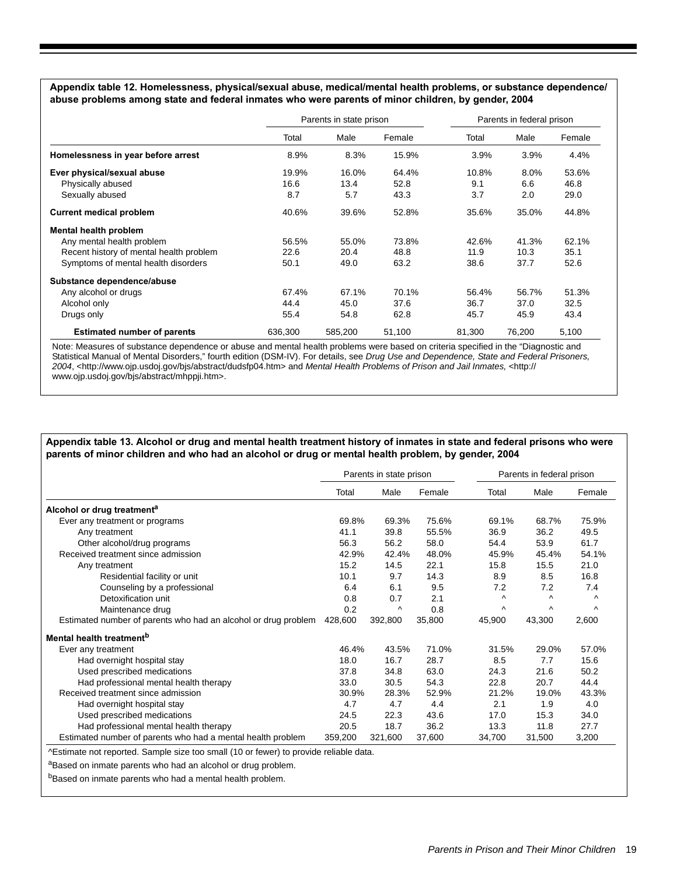**Appendix table 12. Homelessness, physical/sexual abuse, medical/mental health problems, or substance dependence/ abuse problems among state and federal inmates who were parents of minor children, by gender, 2004**

|                                         | Parents in state prison |         | Parents in federal prison |        |        |        |
|-----------------------------------------|-------------------------|---------|---------------------------|--------|--------|--------|
|                                         | Total                   | Male    | Female                    | Total  | Male   | Female |
| Homelessness in year before arrest      | 8.9%                    | 8.3%    | 15.9%                     | 3.9%   | 3.9%   | 4.4%   |
| Ever physical/sexual abuse              | 19.9%                   | 16.0%   | 64.4%                     | 10.8%  | 8.0%   | 53.6%  |
| Physically abused                       | 16.6                    | 13.4    | 52.8                      | 9.1    | 6.6    | 46.8   |
| Sexually abused                         | 8.7                     | 5.7     | 43.3                      | 3.7    | 2.0    | 29.0   |
| <b>Current medical problem</b>          | 40.6%                   | 39.6%   | 52.8%                     | 35.6%  | 35.0%  | 44.8%  |
| Mental health problem                   |                         |         |                           |        |        |        |
| Any mental health problem               | 56.5%                   | 55.0%   | 73.8%                     | 42.6%  | 41.3%  | 62.1%  |
| Recent history of mental health problem | 22.6                    | 20.4    | 48.8                      | 11.9   | 10.3   | 35.1   |
| Symptoms of mental health disorders     | 50.1                    | 49.0    | 63.2                      | 38.6   | 37.7   | 52.6   |
| Substance dependence/abuse              |                         |         |                           |        |        |        |
| Any alcohol or drugs                    | 67.4%                   | 67.1%   | 70.1%                     | 56.4%  | 56.7%  | 51.3%  |
| Alcohol only                            | 44.4                    | 45.0    | 37.6                      | 36.7   | 37.0   | 32.5   |
| Drugs only                              | 55.4                    | 54.8    | 62.8                      | 45.7   | 45.9   | 43.4   |
| <b>Estimated number of parents</b>      | 636.300                 | 585.200 | 51,100                    | 81,300 | 76.200 | 5,100  |

Note: Measures of substance dependence or abuse and mental health problems were based on criteria specified in the "Diagnostic and Statistical Manual of Mental Disorders," fourth edition (DSM-IV). For details, see *Drug Use and Dependence, State and Federal Prisoners, 2004*, <http://www.ojp.usdoj.gov/bjs/abstract/dudsfp04.htm> and *Mental Health Problems of Prison and Jail Inmates,* <http:// www.ojp.usdoj.gov/bjs/abstract/mhppji.htm>.

#### **Appendix table 13. Alcohol or drug and mental health treatment history of inmates in state and federal prisons who were parents of minor children and who had an alcohol or drug or mental health problem, by gender, 2004**

|                                                                | Parents in state prison |         |        |          | Parents in federal prison |           |  |
|----------------------------------------------------------------|-------------------------|---------|--------|----------|---------------------------|-----------|--|
|                                                                | Total                   | Male    | Female | Total    | Male                      | Female    |  |
| Alcohol or drug treatment <sup>a</sup>                         |                         |         |        |          |                           |           |  |
| Ever any treatment or programs                                 | 69.8%                   | 69.3%   | 75.6%  | 69.1%    | 68.7%                     | 75.9%     |  |
| Any treatment                                                  | 41.1                    | 39.8    | 55.5%  | 36.9     | 36.2                      | 49.5      |  |
| Other alcohol/drug programs                                    | 56.3                    | 56.2    | 58.0   | 54.4     | 53.9                      | 61.7      |  |
| Received treatment since admission                             | 42.9%                   | 42.4%   | 48.0%  | 45.9%    | 45.4%                     | 54.1%     |  |
| Any treatment                                                  | 15.2                    | 14.5    | 22.1   | 15.8     | 15.5                      | 21.0      |  |
| Residential facility or unit                                   | 10.1                    | 9.7     | 14.3   | 8.9      | 8.5                       | 16.8      |  |
| Counseling by a professional                                   | 6.4                     | 6.1     | 9.5    | 7.2      | 7.2                       | 7.4       |  |
| Detoxification unit                                            | 0.8                     | 0.7     | 2.1    | $\wedge$ | $\wedge$                  | $\lambda$ |  |
| Maintenance drug                                               | 0.2                     | ۸       | 0.8    | Λ        | Λ                         | $\lambda$ |  |
| Estimated number of parents who had an alcohol or drug problem | 428,600                 | 392,800 | 35,800 | 45,900   | 43,300                    | 2,600     |  |
| Mental health treatment <sup>b</sup>                           |                         |         |        |          |                           |           |  |
| Ever any treatment                                             | 46.4%                   | 43.5%   | 71.0%  | 31.5%    | 29.0%                     | 57.0%     |  |
| Had overnight hospital stay                                    | 18.0                    | 16.7    | 28.7   | 8.5      | 7.7                       | 15.6      |  |
| Used prescribed medications                                    | 37.8                    | 34.8    | 63.0   | 24.3     | 21.6                      | 50.2      |  |
| Had professional mental health therapy                         | 33.0                    | 30.5    | 54.3   | 22.8     | 20.7                      | 44.4      |  |
| Received treatment since admission                             | 30.9%                   | 28.3%   | 52.9%  | 21.2%    | 19.0%                     | 43.3%     |  |
| Had overnight hospital stay                                    | 4.7                     | 4.7     | 4.4    | 2.1      | 1.9                       | 4.0       |  |
| Used prescribed medications                                    | 24.5                    | 22.3    | 43.6   | 17.0     | 15.3                      | 34.0      |  |
| Had professional mental health therapy                         | 20.5                    | 18.7    | 36.2   | 13.3     | 11.8                      | 27.7      |  |
| Estimated number of parents who had a mental health problem    | 359,200                 | 321,600 | 37,600 | 34,700   | 31,500                    | 3,200     |  |

^Estimate not reported. Sample size too small (10 or fewer) to provide reliable data.

aBased on inmate parents who had an alcohol or drug problem.

bBased on inmate parents who had a mental health problem.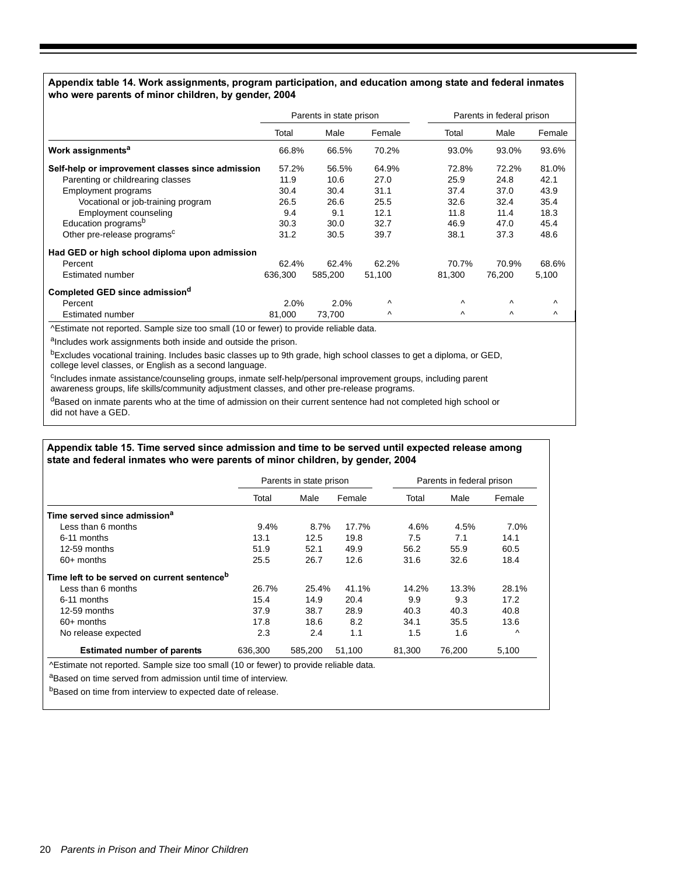#### **Appendix table 14. Work assignments, program participation, and education among state and federal inmates who were parents of minor children, by gender, 2004**

|                                                  | Parents in state prison |         |           | Parents in federal prison |          |          |
|--------------------------------------------------|-------------------------|---------|-----------|---------------------------|----------|----------|
|                                                  | Total                   | Male    | Female    | Total                     | Male     | Female   |
| Work assignments <sup>a</sup>                    | 66.8%                   | 66.5%   | 70.2%     | 93.0%                     | 93.0%    | 93.6%    |
| Self-help or improvement classes since admission | 57.2%                   | 56.5%   | 64.9%     | 72.8%                     | 72.2%    | 81.0%    |
| Parenting or childrearing classes                | 11.9                    | 10.6    | 27.0      | 25.9                      | 24.8     | 42.1     |
| <b>Employment programs</b>                       | 30.4                    | 30.4    | 31.1      | 37.4                      | 37.0     | 43.9     |
| Vocational or job-training program               | 26.5                    | 26.6    | 25.5      | 32.6                      | 32.4     | 35.4     |
| Employment counseling                            | 9.4                     | 9.1     | 12.1      | 11.8                      | 11.4     | 18.3     |
| Education programs <sup>b</sup>                  | 30.3                    | 30.0    | 32.7      | 46.9                      | 47.0     | 45.4     |
| Other pre-release programs <sup>c</sup>          | 31.2                    | 30.5    | 39.7      | 38.1                      | 37.3     | 48.6     |
| Had GED or high school diploma upon admission    |                         |         |           |                           |          |          |
| Percent                                          | 62.4%                   | 62.4%   | 62.2%     | 70.7%                     | 70.9%    | 68.6%    |
| Estimated number                                 | 636,300                 | 585,200 | 51,100    | 81,300                    | 76,200   | 5,100    |
| Completed GED since admission <sup>a</sup>       |                         |         |           |                           |          |          |
| Percent                                          | 2.0%                    | 2.0%    | Λ         | Λ                         | $\wedge$ | $\wedge$ |
| Estimated number                                 | 81.000                  | 73,700  | $\lambda$ | Λ                         | Λ        | $\wedge$ |

^Estimate not reported. Sample size too small (10 or fewer) to provide reliable data.

aIncludes work assignments both inside and outside the prison.

bExcludes vocational training. Includes basic classes up to 9th grade, high school classes to get a diploma, or GED, college level classes, or English as a second language.

<sup>c</sup>Includes inmate assistance/counseling groups, inmate self-help/personal improvement groups, including parent awareness groups, life skills/community adjustment classes, and other pre-release programs.

dBased on inmate parents who at the time of admission on their current sentence had not completed high school or did not have a GED.

#### **Appendix table 15. Time served since admission and time to be served until expected release among state and federal inmates who were parents of minor children, by gender, 2004**

|                                                         |         | Parents in state prison |        |        | Parents in federal prison |           |  |  |
|---------------------------------------------------------|---------|-------------------------|--------|--------|---------------------------|-----------|--|--|
|                                                         | Total   | Male                    | Female | Total  | Male                      | Female    |  |  |
| Time served since admission <sup>a</sup>                |         |                         |        |        |                           |           |  |  |
| Less than 6 months                                      | 9.4%    | 8.7%                    | 17.7%  | 4.6%   | 4.5%                      | 7.0%      |  |  |
| 6-11 months                                             | 13.1    | 12.5                    | 19.8   | 7.5    | 7.1                       | 14.1      |  |  |
| $12-59$ months                                          | 51.9    | 52.1                    | 49.9   | 56.2   | 55.9                      | 60.5      |  |  |
| $60+$ months                                            | 25.5    | 26.7                    | 12.6   | 31.6   | 32.6                      | 18.4      |  |  |
| Time left to be served on current sentence <sup>b</sup> |         |                         |        |        |                           |           |  |  |
| Less than 6 months                                      | 26.7%   | 25.4%                   | 41.1%  | 14.2%  | 13.3%                     | 28.1%     |  |  |
| 6-11 months                                             | 15.4    | 14.9                    | 20.4   | 9.9    | 9.3                       | 17.2      |  |  |
| $12-59$ months                                          | 37.9    | 38.7                    | 28.9   | 40.3   | 40.3                      | 40.8      |  |  |
| $60+$ months                                            | 17.8    | 18.6                    | 8.2    | 34.1   | 35.5                      | 13.6      |  |  |
| No release expected                                     | 2.3     | 2.4                     | 1.1    | 1.5    | 1.6                       | $\lambda$ |  |  |
| <b>Estimated number of parents</b>                      | 636.300 | 585.200                 | 51,100 | 81,300 | 76,200                    | 5,100     |  |  |

^Estimate not reported. Sample size too small (10 or fewer) to provide reliable data.

aBased on time served from admission until time of interview.

bBased on time from interview to expected date of release.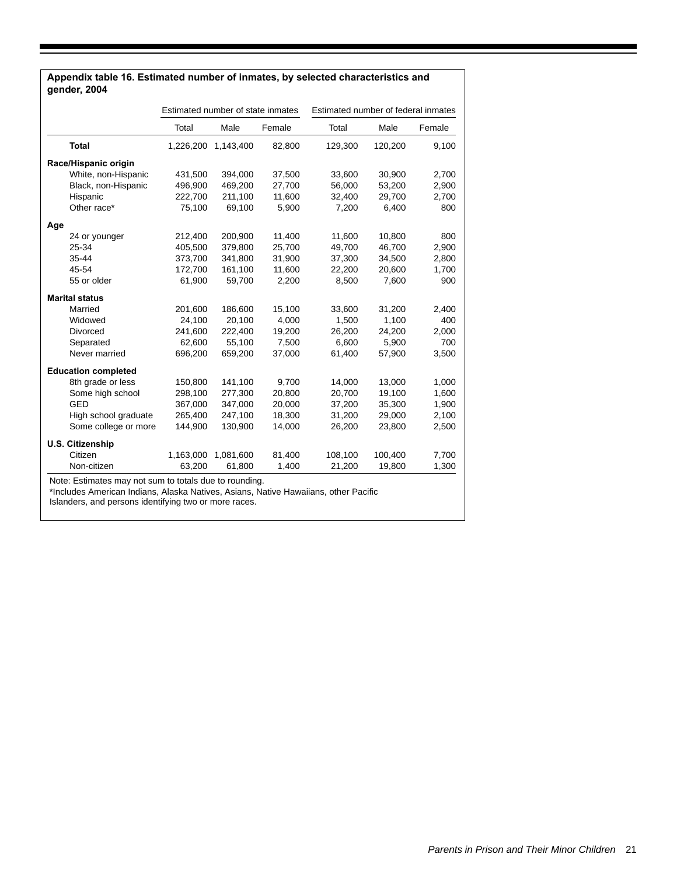|     |                            | Estimated number of state inmates |           |        | Estimated number of federal inmates |         |        |  |
|-----|----------------------------|-----------------------------------|-----------|--------|-------------------------------------|---------|--------|--|
|     |                            | Total                             | Male      | Female | Total                               | Male    | Female |  |
|     | <b>Total</b>               | 1,226,200                         | 1,143,400 | 82,800 | 129,300                             | 120,200 | 9,100  |  |
|     | Race/Hispanic origin       |                                   |           |        |                                     |         |        |  |
|     | White, non-Hispanic        | 431,500                           | 394,000   | 37,500 | 33,600                              | 30,900  | 2,700  |  |
|     | Black, non-Hispanic        | 496,900                           | 469.200   | 27,700 | 56.000                              | 53,200  | 2,900  |  |
|     | Hispanic                   | 222,700                           | 211,100   | 11,600 | 32,400                              | 29,700  | 2,700  |  |
|     | Other race*                | 75,100                            | 69,100    | 5,900  | 7,200                               | 6,400   | 800    |  |
| Age |                            |                                   |           |        |                                     |         |        |  |
|     | 24 or younger              | 212,400                           | 200,900   | 11,400 | 11.600                              | 10,800  | 800    |  |
|     | 25-34                      | 405,500                           | 379,800   | 25,700 | 49.700                              | 46,700  | 2.900  |  |
|     | 35-44                      | 373,700                           | 341,800   | 31,900 | 37,300                              | 34,500  | 2,800  |  |
|     | 45-54                      | 172,700                           | 161,100   | 11,600 | 22,200                              | 20,600  | 1,700  |  |
|     | 55 or older                | 61.900                            | 59,700    | 2,200  | 8,500                               | 7,600   | 900    |  |
|     | <b>Marital status</b>      |                                   |           |        |                                     |         |        |  |
|     | Married                    | 201,600                           | 186,600   | 15,100 | 33,600                              | 31,200  | 2,400  |  |
|     | Widowed                    | 24,100                            | 20,100    | 4,000  | 1,500                               | 1,100   | 400    |  |
|     | <b>Divorced</b>            | 241,600                           | 222,400   | 19,200 | 26,200                              | 24,200  | 2,000  |  |
|     | Separated                  | 62,600                            | 55,100    | 7,500  | 6,600                               | 5,900   | 700    |  |
|     | Never married              | 696,200                           | 659,200   | 37,000 | 61,400                              | 57,900  | 3,500  |  |
|     | <b>Education completed</b> |                                   |           |        |                                     |         |        |  |
|     | 8th grade or less          | 150,800                           | 141,100   | 9,700  | 14,000                              | 13,000  | 1,000  |  |
|     | Some high school           | 298,100                           | 277,300   | 20,800 | 20,700                              | 19,100  | 1,600  |  |
|     | <b>GED</b>                 | 367,000                           | 347,000   | 20,000 | 37,200                              | 35,300  | 1,900  |  |
|     | High school graduate       | 265.400                           | 247.100   | 18,300 | 31,200                              | 29,000  | 2,100  |  |
|     | Some college or more       | 144,900                           | 130,900   | 14,000 | 26,200                              | 23,800  | 2,500  |  |
|     | <b>U.S. Citizenship</b>    |                                   |           |        |                                     |         |        |  |
|     | Citizen                    | 1,163,000                         | 1,081,600 | 81,400 | 108,100                             | 100,400 | 7,700  |  |
|     | Non-citizen                | 63,200                            | 61,800    | 1,400  | 21,200                              | 19,800  | 1,300  |  |

#### **Appendix table 16. Estimated number of inmates, by selected characteristics and gender, 2004**

Note: Estimates may not sum to totals due to rounding.

\*Includes American Indians, Alaska Natives, Asians, Native Hawaiians, other Pacific

Islanders, and persons identifying two or more races.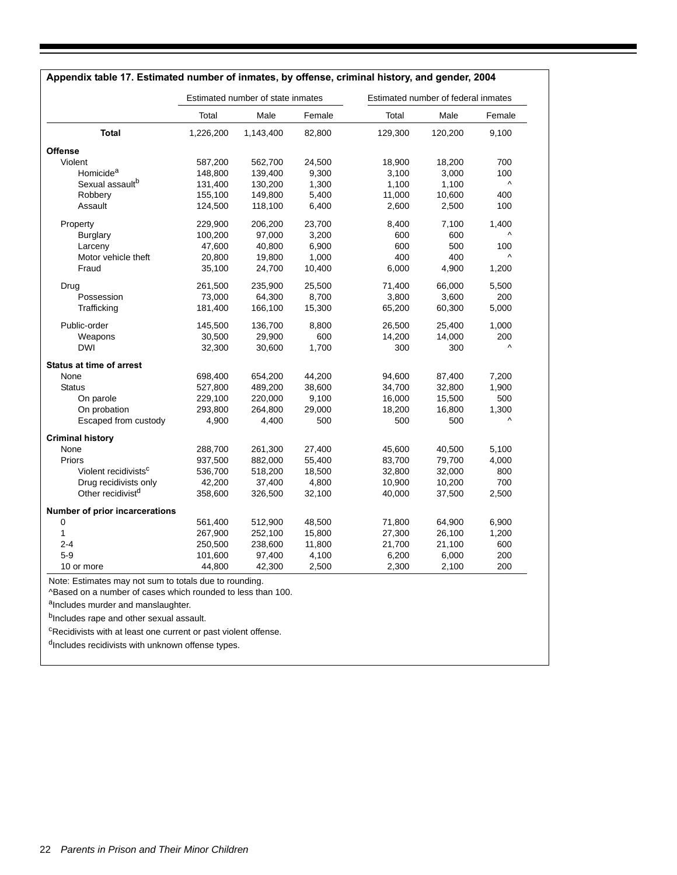|                                  |           | Estimated number of state inmates |        |         | Estimated number of federal inmates |                       |
|----------------------------------|-----------|-----------------------------------|--------|---------|-------------------------------------|-----------------------|
|                                  | Total     | Male                              | Female | Total   | Male                                | Female                |
| <b>Total</b>                     | 1,226,200 | 1,143,400                         | 82,800 | 129,300 | 120,200                             | 9,100                 |
| <b>Offense</b>                   |           |                                   |        |         |                                     |                       |
| Violent                          | 587,200   | 562,700                           | 24,500 | 18,900  | 18,200                              | 700                   |
| Homicide <sup>a</sup>            | 148,800   | 139,400                           | 9,300  | 3,100   | 3,000                               | 100                   |
| Sexual assault <sup>b</sup>      | 131,400   | 130,200                           | 1,300  | 1,100   | 1,100                               | $\boldsymbol{\wedge}$ |
| Robbery                          | 155,100   | 149,800                           | 5,400  | 11,000  | 10,600                              | 400                   |
| Assault                          | 124,500   | 118,100                           | 6,400  | 2,600   | 2,500                               | 100                   |
| Property                         | 229,900   | 206,200                           | 23,700 | 8,400   | 7,100                               | 1,400                 |
| <b>Burglary</b>                  | 100,200   | 97,000                            | 3,200  | 600     | 600                                 | ۸                     |
| Larceny                          | 47,600    | 40,800                            | 6,900  | 600     | 500                                 | 100                   |
| Motor vehicle theft              | 20,800    | 19,800                            | 1,000  | 400     | 400                                 | Λ                     |
| Fraud                            | 35,100    | 24,700                            | 10,400 | 6,000   | 4,900                               | 1,200                 |
| Drug                             | 261,500   | 235,900                           | 25,500 | 71,400  | 66,000                              | 5,500                 |
| Possession                       | 73,000    | 64,300                            | 8,700  | 3,800   | 3,600                               | 200                   |
| Trafficking                      | 181,400   | 166,100                           | 15,300 | 65,200  | 60,300                              | 5,000                 |
| Public-order                     | 145,500   | 136,700                           | 8,800  | 26,500  | 25,400                              | 1,000                 |
| Weapons                          | 30,500    | 29,900                            | 600    | 14,200  | 14,000                              | 200                   |
| <b>DWI</b>                       | 32,300    | 30,600                            | 1,700  | 300     | 300                                 | $\boldsymbol{\wedge}$ |
| <b>Status at time of arrest</b>  |           |                                   |        |         |                                     |                       |
| None                             | 698,400   | 654,200                           | 44,200 | 94,600  | 87,400                              | 7,200                 |
| Status                           | 527,800   | 489,200                           | 38,600 | 34,700  | 32,800                              | 1,900                 |
| On parole                        | 229,100   | 220,000                           | 9,100  | 16,000  | 15,500                              | 500                   |
| On probation                     | 293,800   | 264,800                           | 29,000 | 18,200  | 16,800                              | 1,300                 |
| Escaped from custody             | 4,900     | 4,400                             | 500    | 500     | 500                                 | $\boldsymbol{\wedge}$ |
| <b>Criminal history</b>          |           |                                   |        |         |                                     |                       |
| None                             | 288,700   | 261,300                           | 27,400 | 45,600  | 40,500                              | 5,100                 |
| Priors                           | 937,500   | 882,000                           | 55,400 | 83,700  | 79,700                              | 4,000                 |
| Violent recidivists <sup>c</sup> | 536,700   | 518,200                           | 18,500 | 32,800  | 32,000                              | 800                   |
| Drug recidivists only            | 42,200    | 37,400                            | 4,800  | 10,900  | 10,200                              | 700                   |
| Other recidivist <sup>d</sup>    | 358,600   | 326,500                           | 32,100 | 40,000  | 37,500                              | 2,500                 |
| Number of prior incarcerations   |           |                                   |        |         |                                     |                       |
| 0                                | 561,400   | 512,900                           | 48,500 | 71,800  | 64,900                              | 6,900                 |
| 1                                | 267,900   | 252,100                           | 15,800 | 27,300  | 26,100                              | 1,200                 |
| $2 - 4$                          | 250,500   | 238,600                           | 11,800 | 21,700  | 21,100                              | 600                   |
| $5-9$                            | 101,600   | 97,400                            | 4,100  | 6,200   | 6,000                               | 200                   |
| 10 or more                       | 44,800    | 42,300                            | 2,500  | 2,300   | 2,100                               | 200                   |

#### **Appendix table 17. Estimated number of inmates, by offense, criminal history, and gender, 2004**

Note: Estimates may not sum to totals due to rounding.

^Based on a number of cases which rounded to less than 100.

aIncludes murder and manslaughter.

bIncludes rape and other sexual assault.

 $c$ Recidivists with at least one current or past violent offense.

 $d$ Includes recidivists with unknown offense types.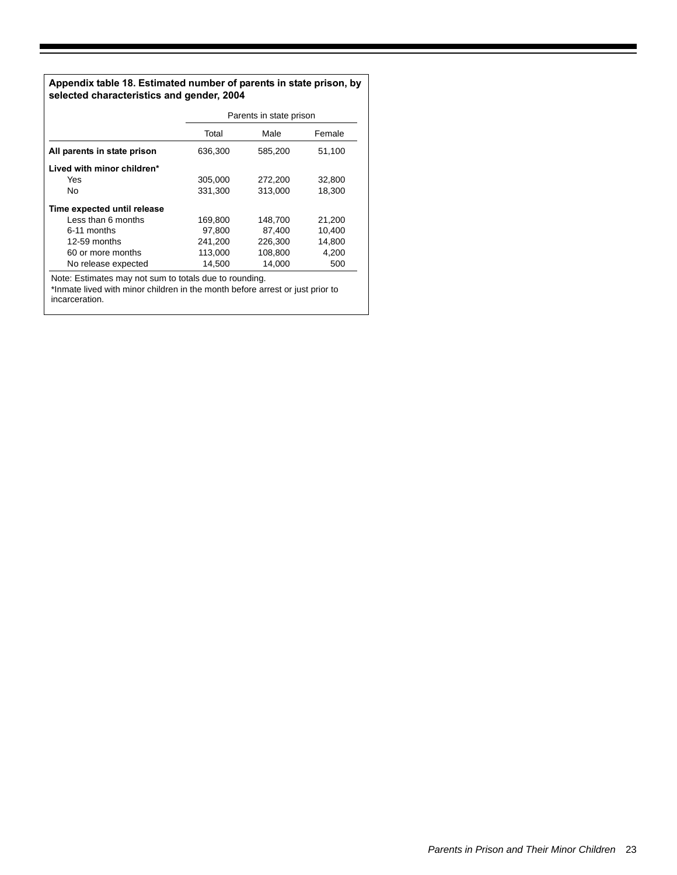## **Appendix table 18. Estimated number of parents in state prison, by selected characteristics and gender, 2004**

|                             |         | Parents in state prison |        |
|-----------------------------|---------|-------------------------|--------|
|                             | Total   | Male                    | Female |
| All parents in state prison | 636,300 | 585,200                 | 51,100 |
| Lived with minor children*  |         |                         |        |
| <b>Yes</b>                  | 305,000 | 272,200                 | 32,800 |
| No                          | 331,300 | 313,000                 | 18,300 |
| Time expected until release |         |                         |        |
| Less than 6 months          | 169,800 | 148,700                 | 21.200 |
| 6-11 months                 | 97.800  | 87.400                  | 10.400 |
| 12-59 months                | 241,200 | 226,300                 | 14.800 |
| 60 or more months           | 113,000 | 108,800                 | 4,200  |
| No release expected         | 14,500  | 14,000                  | 500    |

Note: Estimates may not sum to totals due to rounding.

\*Inmate lived with minor children in the month before arrest or just prior to incarceration.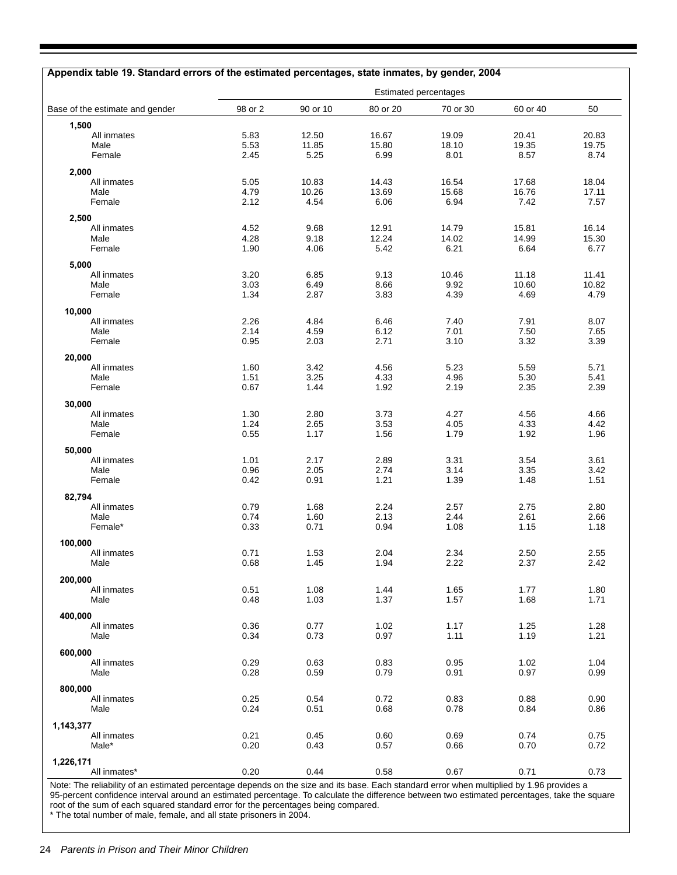|                                 |              |              | <b>Estimated percentages</b> |              |              |              |
|---------------------------------|--------------|--------------|------------------------------|--------------|--------------|--------------|
| Base of the estimate and gender | 98 or 2      | 90 or 10     | 80 or 20                     | 70 or 30     | 60 or 40     | 50           |
| 1,500                           |              |              |                              |              |              |              |
| All inmates                     | 5.83         | 12.50        | 16.67                        | 19.09        | 20.41        | 20.83        |
| Male                            | 5.53         | 11.85        | 15.80                        | 18.10        | 19.35        | 19.75        |
| Female                          | 2.45         | 5.25         | 6.99                         | 8.01         | 8.57         | 8.74         |
| 2,000                           |              |              |                              |              |              |              |
| All inmates                     | 5.05         | 10.83        | 14.43                        | 16.54        | 17.68        | 18.04        |
| Male                            | 4.79         | 10.26        | 13.69                        | 15.68        | 16.76        | 17.11        |
| Female                          | 2.12         | 4.54         | 6.06                         | 6.94         | 7.42         | 7.57         |
| 2,500                           |              |              |                              |              |              |              |
| All inmates                     | 4.52         | 9.68         | 12.91                        | 14.79        | 15.81        | 16.14        |
| Male                            | 4.28         | 9.18         | 12.24                        | 14.02        | 14.99        | 15.30        |
| Female                          | 1.90         | 4.06         | 5.42                         | 6.21         | 6.64         | 6.77         |
|                                 |              |              |                              |              |              |              |
| 5,000<br>All inmates            | 3.20         | 6.85         | 9.13                         | 10.46        | 11.18        | 11.41        |
| Male                            | 3.03         | 6.49         | 8.66                         | 9.92         | 10.60        | 10.82        |
| Female                          | 1.34         | 2.87         | 3.83                         | 4.39         | 4.69         | 4.79         |
|                                 |              |              |                              |              |              |              |
| 10,000                          |              |              |                              |              |              |              |
| All inmates<br>Male             | 2.26<br>2.14 | 4.84<br>4.59 | 6.46<br>6.12                 | 7.40<br>7.01 | 7.91<br>7.50 | 8.07<br>7.65 |
| Female                          | 0.95         | 2.03         | 2.71                         | 3.10         | 3.32         | 3.39         |
|                                 |              |              |                              |              |              |              |
| 20,000                          |              |              |                              |              |              |              |
| All inmates                     | 1.60         | 3.42         | 4.56                         | 5.23         | 5.59         | 5.71         |
| Male                            | 1.51         | 3.25<br>1.44 | 4.33                         | 4.96         | 5.30         | 5.41         |
| Female                          | 0.67         |              | 1.92                         | 2.19         | 2.35         | 2.39         |
| 30,000                          |              |              |                              |              |              |              |
| All inmates                     | 1.30         | 2.80         | 3.73                         | 4.27         | 4.56         | 4.66         |
| Male                            | 1.24         | 2.65         | 3.53                         | 4.05         | 4.33         | 4.42         |
| Female                          | 0.55         | 1.17         | 1.56                         | 1.79         | 1.92         | 1.96         |
| 50,000                          |              |              |                              |              |              |              |
| All inmates                     | 1.01         | 2.17         | 2.89                         | 3.31         | 3.54         | 3.61         |
| Male                            | 0.96         | 2.05         | 2.74                         | 3.14         | 3.35         | 3.42         |
| Female                          | 0.42         | 0.91         | 1.21                         | 1.39         | 1.48         | 1.51         |
| 82,794                          |              |              |                              |              |              |              |
| All inmates                     | 0.79         | 1.68         | 2.24                         | 2.57         | 2.75         | 2.80         |
| Male                            | 0.74         | 1.60         | 2.13                         | 2.44         | 2.61         | 2.66         |
| Female*                         | 0.33         | 0.71         | 0.94                         | 1.08         | 1.15         | 1.18         |
| 100,000                         |              |              |                              |              |              |              |
| All inmates                     | 0.71         | 1.53         | 2.04                         | 2.34         | 2.50         | 2.55         |
| Male                            | 0.68         | 1.45         | 1.94                         | 2.22         | 2.37         | 2.42         |
|                                 |              |              |                              |              |              |              |
| 200,000                         |              |              |                              |              |              |              |
| All inmates<br>Male             | 0.51<br>0.48 | 1.08<br>1.03 | 1.44<br>1.37                 | 1.65<br>1.57 | 1.77         | 1.80<br>1.71 |
|                                 |              |              |                              |              | 1.68         |              |
| 400,000                         |              |              |                              |              |              |              |
| All inmates                     | 0.36         | 0.77         | 1.02                         | 1.17         | 1.25         | 1.28         |
| Male                            | 0.34         | 0.73         | 0.97                         | 1.11         | 1.19         | 1.21         |
| 600,000                         |              |              |                              |              |              |              |
| All inmates                     | 0.29         | 0.63         | 0.83                         | 0.95         | 1.02         | 1.04         |
| Male                            | 0.28         | 0.59         | 0.79                         | 0.91         | 0.97         | 0.99         |
|                                 |              |              |                              |              |              |              |
| 800,000<br>All inmates          | 0.25         | 0.54         | 0.72                         | 0.83         | 0.88         | 0.90         |
| Male                            | 0.24         | 0.51         | 0.68                         | 0.78         | 0.84         | 0.86         |
|                                 |              |              |                              |              |              |              |
| 1,143,377                       |              |              |                              |              |              |              |
| All inmates                     | 0.21         | 0.45         | 0.60                         | 0.69         | 0.74         | 0.75         |
| Male*                           | 0.20         | 0.43         | 0.57                         | 0.66         | 0.70         | 0.72         |
| 1,226,171                       |              |              |                              |              |              |              |
| All inmates*                    | 0.20         | 0.44         | 0.58                         | 0.67         | 0.71         | 0.73         |

Note: The reliability of an estimated percentage depends on the size and its base. Each standard error when multiplied by 1.96 provides a 95-percent confidence interval around an estimated percentage. To calculate the difference between two estimated percentages, take the square root of the sum of each squared standard error for the percentages being compared.